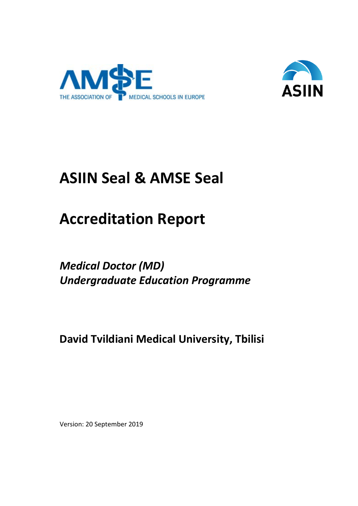



# **ASIIN Seal & AMSE Seal**

# **Accreditation Report**

*Medical Doctor (MD) Undergraduate Education Programme*

**David Tvildiani Medical University, Tbilisi**

Version: 20 September 2019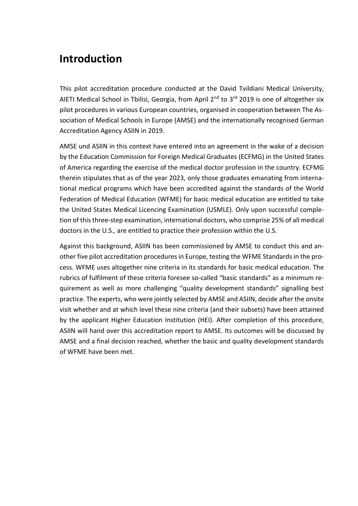# **Introduction**

This pilot accreditation procedure conducted at the David Tvildiani Medical University, AIETI Medical School in Tbilisi, Georgia, from April  $2<sup>nd</sup>$  to  $3<sup>rd</sup>$  2019 is one of altogether six pilot procedures in various European countries, organised in cooperation between The Association of Medical Schools in Europe (AMSE) and the internationally recognised German Accreditation Agency ASIIN in 2019.

AMSE und ASIIN in this context have entered into an agreement in the wake of a decision by the Education Commission for Foreign Medical Graduates (ECFMG) in the United States of America regarding the exercise of the medical doctor profession in the country. ECFMG therein stipulates that as of the year 2023, only those graduates emanating from international medical programs which have been accredited against the standards of the World Federation of Medical Education (WFME) for basic medical education are entitled to take the United States Medical Licencing Examination (USMLE). Only upon successful completion of this three-step examination, international doctors, who comprise 25% of all medical doctors in the U.S., are entitled to practice their profession within the U.S.

Against this background, ASIIN has been commissioned by AMSE to conduct this and another five pilot accreditation procedures in Europe, testing the WFME Standards in the process. WFME uses altogether nine criteria in its standards for basic medical education. The rubrics of fulfilment of these criteria foresee so-called "basic standards" as a minimum requirement as well as more challenging "quality development standards" signalling best practice. The experts, who were jointly selected by AMSE and ASIIN, decide after the onsite visit whether and at which level these nine criteria (and their subsets) have been attained by the applicant Higher Education Institution (HEI). After completion of this procedure, ASIIN will hand over this accreditation report to AMSE. Its outcomes will be discussed by AMSE and a final decision reached, whether the basic and quality development standards of WFME have been met.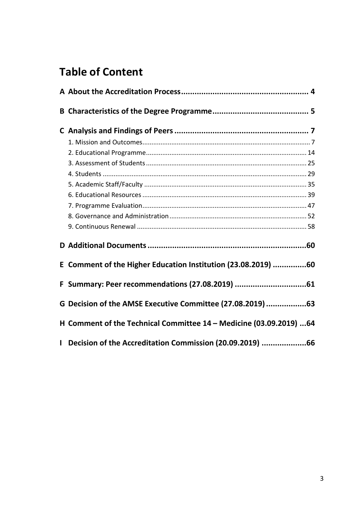# **Table of Content**

|              | E Comment of the Higher Education Institution (23.08.2019) 60       |  |
|--------------|---------------------------------------------------------------------|--|
|              | F Summary: Peer recommendations (27.08.2019) 61                     |  |
|              | G Decision of the AMSE Executive Committee (27.08.2019) 63          |  |
|              | H Comment of the Technical Committee 14 - Medicine (03.09.2019)  64 |  |
| $\mathbf{L}$ | Decision of the Accreditation Commission (20.09.2019) 66            |  |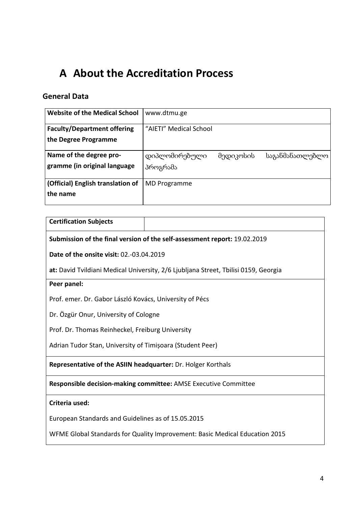# <span id="page-3-0"></span>**A About the Accreditation Process**

# **General Data**

| <b>Website of the Medical School</b>                       | www.dtmu.ge               |           |                 |
|------------------------------------------------------------|---------------------------|-----------|-----------------|
| <b>Faculty/Department offering</b><br>the Degree Programme | "AIETI" Medical School    |           |                 |
| Name of the degree pro-<br>gramme (in original language    | დიპლომირებული<br>პროგრამა | მედიკოსის | საგანმანათლებლო |
| (Official) English translation of<br>the name              | MD Programme              |           |                 |

| <b>Certification Subjects</b>                                               |                                                                                     |  |  |  |  |
|-----------------------------------------------------------------------------|-------------------------------------------------------------------------------------|--|--|--|--|
|                                                                             | Submission of the final version of the self-assessment report: 19.02.2019           |  |  |  |  |
| <b>Date of the onsite visit: 02.-03.04.2019</b>                             |                                                                                     |  |  |  |  |
|                                                                             | at: David Tvildiani Medical University, 2/6 Ljubljana Street, Tbilisi 0159, Georgia |  |  |  |  |
| Peer panel:                                                                 |                                                                                     |  |  |  |  |
| Prof. emer. Dr. Gabor László Kovács, University of Pécs                     |                                                                                     |  |  |  |  |
|                                                                             | Dr. Özgür Onur, University of Cologne                                               |  |  |  |  |
| Prof. Dr. Thomas Reinheckel, Freiburg University                            |                                                                                     |  |  |  |  |
| Adrian Tudor Stan, University of Timișoara (Student Peer)                   |                                                                                     |  |  |  |  |
| Representative of the ASIIN headquarter: Dr. Holger Korthals                |                                                                                     |  |  |  |  |
| Responsible decision-making committee: AMSE Executive Committee             |                                                                                     |  |  |  |  |
| Criteria used:                                                              |                                                                                     |  |  |  |  |
| European Standards and Guidelines as of 15.05.2015                          |                                                                                     |  |  |  |  |
| WFME Global Standards for Quality Improvement: Basic Medical Education 2015 |                                                                                     |  |  |  |  |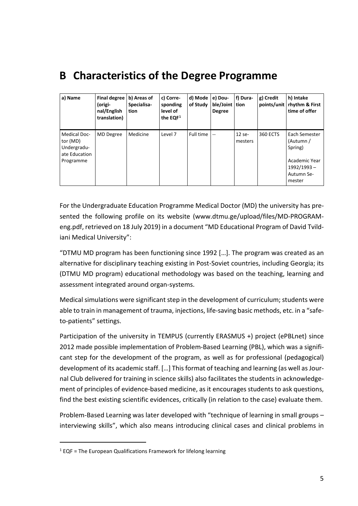# <span id="page-4-0"></span>**B Characteristics of the Degree Programme**

| a) Name                                                         | <b>Final degree</b><br>(origi-<br>nal/English<br>translation) | b) Areas of<br>Specialisa-<br>tion | c) Corre-<br>sponding<br>level of<br>the $EQF1$ | d) Mode<br>of Study | e) Dou-<br>ble/Joint tion<br><b>Degree</b> | f) Dura-          | g) Credit       | h) Intake<br>points/unit   rhythm & First<br>time of offer |
|-----------------------------------------------------------------|---------------------------------------------------------------|------------------------------------|-------------------------------------------------|---------------------|--------------------------------------------|-------------------|-----------------|------------------------------------------------------------|
| <b>Medical Doc-</b><br>tor (MD)<br>Undergradu-<br>ate Education | <b>MD</b> Degree                                              | Medicine                           | Level 7                                         | Full time           | $\sim$                                     | 12 se-<br>mesters | <b>360 ECTS</b> | Each Semester<br>(Autumn /<br>Spring)                      |
| Programme                                                       |                                                               |                                    |                                                 |                     |                                            |                   |                 | Academic Year<br>1992/1993-<br>Autumn Se-<br>mester        |

For the Undergraduate Education Programme Medical Doctor (MD) the university has presented the following profile on its website (www.dtmu.ge/upload/files/MD-PROGRAMeng.pdf, retrieved on 18 July 2019) in a document "MD Educational Program of David Tvildiani Medical University":

"DTMU MD program has been functioning since 1992 […]. The program was created as an alternative for disciplinary teaching existing in Post-Soviet countries, including Georgia; its (DTMU MD program) educational methodology was based on the teaching, learning and assessment integrated around organ-systems.

Medical simulations were significant step in the development of curriculum; students were able to train in management of trauma, injections, life-saving basic methods, etc. in a "safeto-patients" settings.

Participation of the university in TEMPUS (currently ERASMUS +) project (ePBLnet) since 2012 made possible implementation of Problem-Based Learning (PBL), which was a significant step for the development of the program, as well as for professional (pedagogical) development of its academic staff. […] This format of teaching and learning (as well as Journal Club delivered for training in science skills) also facilitates the students in acknowledgement of principles of evidence-based medicine, as it encourages students to ask questions, find the best existing scientific evidences, critically (in relation to the case) evaluate them.

Problem-Based Learning was later developed with "technique of learning in small groups – interviewing skills", which also means introducing clinical cases and clinical problems in

 $\overline{a}$ 

<span id="page-4-1"></span> $1$  EQF = The European Qualifications Framework for lifelong learning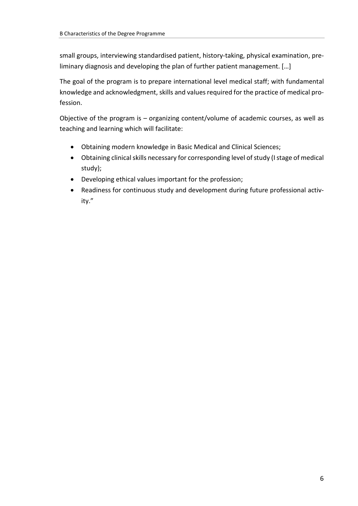small groups, interviewing standardised patient, history-taking, physical examination, preliminary diagnosis and developing the plan of further patient management. […]

The goal of the program is to prepare international level medical staff; with fundamental knowledge and acknowledgment, skills and values required for the practice of medical profession.

Objective of the program is – organizing content/volume of academic courses, as well as teaching and learning which will facilitate:

- Obtaining modern knowledge in Basic Medical and Clinical Sciences;
- Obtaining clinical skills necessary for corresponding level of study (I stage of medical study);
- Developing ethical values important for the profession;
- Readiness for continuous study and development during future professional activity."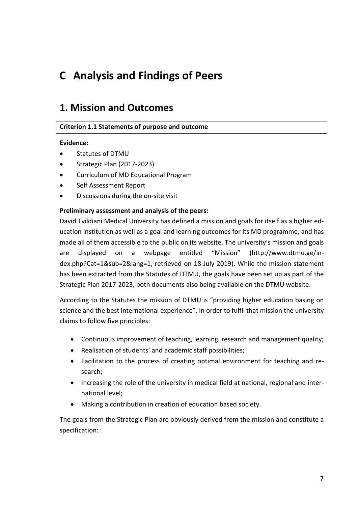# <span id="page-6-0"></span>**C Analysis and Findings of Peers**

# <span id="page-6-1"></span>**1. Mission and Outcomes**

# **Criterion 1.1 Statements of purpose and outcome**

#### **Evidence:**

- Statutes of DTMU
- Strategic Plan (2017-2023)
- Curriculum of MD Educational Program
- Self Assessment Report
- Discussions during the on-site visit

#### **Preliminary assessment and analysis of the peers:**

David Tvildiani Medical University has defined a mission and goals for itself as a higher education institution as well as a goal and learning outcomes for its MD programme, and has made all of them accessible to the public on its website. The university's mission and goals are displayed on a webpage entitled "Mission" (http://www.dtmu.ge/index.php?Cat=1&sub=2&lang=1, retrieved on 18 July 2019). While the mission statement has been extracted from the Statutes of DTMU, the goals have been set up as part of the Strategic Plan 2017-2023, both documents also being available on the DTMU website.

According to the Statutes the mission of DTMU is "providing higher education basing on science and the best international experience". In order to fulfil that mission the university claims to follow five principles:

- Continuous improvement of teaching, learning, research and management quality;
- Realisation of students' and academic staff possibilities;
- Facilitation to the process of creating optimal environment for teaching and research;
- Increasing the role of the university in medical field at national, regional and international level;
- Making a contribution in creation of education based society.

The goals from the Strategic Plan are obviously derived from the mission and constitute a specification: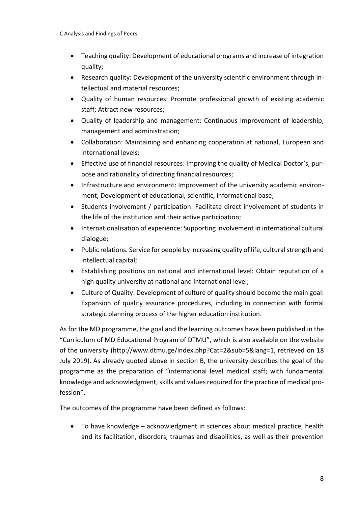- Teaching quality: Development of educational programs and increase of integration quality;
- Research quality: Development of the university scientific environment through intellectual and material resources;
- Quality of human resources: Promote professional growth of existing academic staff; Attract new resources;
- Quality of leadership and management: Continuous improvement of leadership, management and administration;
- Collaboration: Maintaining and enhancing cooperation at national, European and international levels;
- Effective use of financial resources: Improving the quality of Medical Doctor's, purpose and rationality of directing financial resources;
- Infrastructure and environment: Improvement of the university academic environment; Development of educational, scientific, informational base;
- Students involvement / participation: Facilitate direct involvement of students in the life of the institution and their active participation;
- Internationalisation of experience: Supporting involvement in international cultural dialogue;
- Public relations. Service for people by increasing quality of life, cultural strength and intellectual capital;
- Establishing positions on national and international level: Obtain reputation of a high quality university at national and international level;
- Culture of Quality: Development of culture of quality should become the main goal: Expansion of quality assurance procedures, including in connection with formal strategic planning process of the higher education institution.

As for the MD programme, the goal and the learning outcomes have been published in the "Curriculum of MD Educational Program of DTMU", which is also available on the website of the university (http://www.dtmu.ge/index.php?Cat=2&sub=5&lang=1, retrieved on 18 July 2019). As already quoted above in section B, the university describes the goal of the programme as the preparation of "international level medical staff; with fundamental knowledge and acknowledgment, skills and values required for the practice of medical profession".

The outcomes of the programme have been defined as follows:

• To have knowledge – acknowledgment in sciences about medical practice, health and its facilitation, disorders, traumas and disabilities, as well as their prevention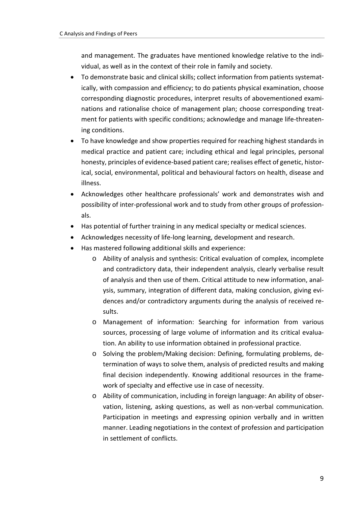and management. The graduates have mentioned knowledge relative to the individual, as well as in the context of their role in family and society.

- To demonstrate basic and clinical skills; collect information from patients systematically, with compassion and efficiency; to do patients physical examination, choose corresponding diagnostic procedures, interpret results of abovementioned examinations and rationalise choice of management plan; choose corresponding treatment for patients with specific conditions; acknowledge and manage life-threatening conditions.
- To have knowledge and show properties required for reaching highest standards in medical practice and patient care; including ethical and legal principles, personal honesty, principles of evidence-based patient care; realises effect of genetic, historical, social, environmental, political and behavioural factors on health, disease and illness.
- Acknowledges other healthcare professionals' work and demonstrates wish and possibility of inter-professional work and to study from other groups of professionals.
- Has potential of further training in any medical specialty or medical sciences.
- Acknowledges necessity of life-long learning, development and research.
- Has mastered following additional skills and experience:
	- o Ability of analysis and synthesis: Critical evaluation of complex, incomplete and contradictory data, their independent analysis, clearly verbalise result of analysis and then use of them. Critical attitude to new information, analysis, summary, integration of different data, making conclusion, giving evidences and/or contradictory arguments during the analysis of received results.
	- o Management of information: Searching for information from various sources, processing of large volume of information and its critical evaluation. An ability to use information obtained in professional practice.
	- o Solving the problem/Making decision: Defining, formulating problems, determination of ways to solve them, analysis of predicted results and making final decision independently. Knowing additional resources in the framework of specialty and effective use in case of necessity.
	- o Ability of communication, including in foreign language: An ability of observation, listening, asking questions, as well as non-verbal communication. Participation in meetings and expressing opinion verbally and in written manner. Leading negotiations in the context of profession and participation in settlement of conflicts.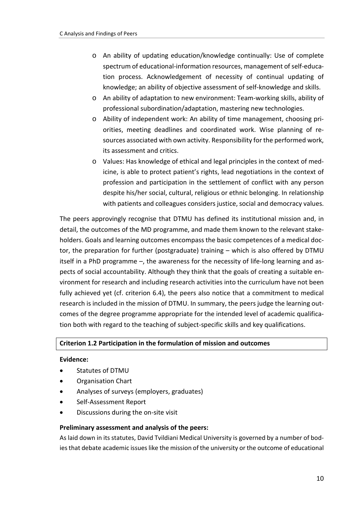- o An ability of updating education/knowledge continually: Use of complete spectrum of educational-information resources, management of self-education process. Acknowledgement of necessity of continual updating of knowledge; an ability of objective assessment of self-knowledge and skills.
- o An ability of adaptation to new environment: Team-working skills, ability of professional subordination/adaptation, mastering new technologies.
- o Ability of independent work: An ability of time management, choosing priorities, meeting deadlines and coordinated work. Wise planning of resources associated with own activity. Responsibility for the performed work, its assessment and critics.
- o Values: Has knowledge of ethical and legal principles in the context of medicine, is able to protect patient's rights, lead negotiations in the context of profession and participation in the settlement of conflict with any person despite his/her social, cultural, religious or ethnic belonging. In relationship with patients and colleagues considers justice, social and democracy values.

The peers approvingly recognise that DTMU has defined its institutional mission and, in detail, the outcomes of the MD programme, and made them known to the relevant stakeholders. Goals and learning outcomes encompass the basic competences of a medical doctor, the preparation for further (postgraduate) training – which is also offered by DTMU itself in a PhD programme –, the awareness for the necessity of life-long learning and aspects of social accountability. Although they think that the goals of creating a suitable environment for research and including research activities into the curriculum have not been fully achieved yet (cf. criterion 6.4), the peers also notice that a commitment to medical research is included in the mission of DTMU. In summary, the peers judge the learning outcomes of the degree programme appropriate for the intended level of academic qualification both with regard to the teaching of subject-specific skills and key qualifications.

# **Criterion 1.2 Participation in the formulation of mission and outcomes**

#### **Evidence:**

- Statutes of DTMU
- Organisation Chart
- Analyses of surveys (employers, graduates)
- Self-Assessment Report
- Discussions during the on-site visit

#### **Preliminary assessment and analysis of the peers:**

As laid down in its statutes, David Tvildiani Medical University is governed by a number of bodies that debate academic issues like the mission of the university or the outcome of educational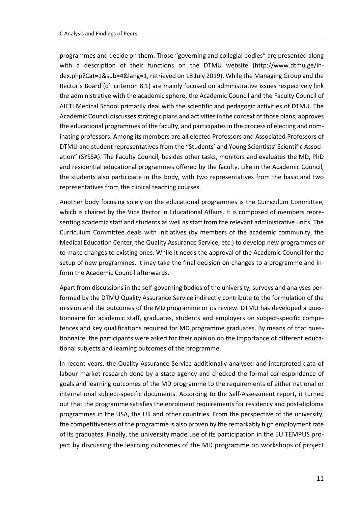programmes and decide on them. Those "governing and collegial bodies" are presented along with a description of their functions on the DTMU website (http://www.dtmu.ge/index.php?Cat=1&sub=4&lang=1, retrieved on 18 July 2019). While the Managing Group and the Rector's Board (cf. criterion 8.1) are mainly focused on administrative issues respectively link the administrative with the academic sphere, the Academic Council and the Faculty Council of AIETI Medical School primarily deal with the scientific and pedagogic activities of DTMU. The Academic Council discusses strategic plans and activities in the context of those plans, approves the educational programmes of the faculty, and participates in the process of electing and nominating professors. Among its members are all elected Professors and Associated Professors of DTMU and student representatives from the "Students' and Young Scientists' Scientific Association" (SYSSA). The Faculty Council, besides other tasks, monitors and evaluates the MD, PhD and residential educational programmes offered by the faculty. Like in the Academic Council, the students also participate in this body, with two representatives from the basic and two representatives from the clinical teaching courses.

Another body focusing solely on the educational programmes is the Curriculum Committee, which is chaired by the Vice Rector in Educational Affairs. It is composed of members representing academic staff and students as well as staff from the relevant administrative units. The Curriculum Committee deals with initiatives (by members of the academic community, the Medical Education Center, the Quality Assurance Service, etc.) to develop new programmes or to make changes to existing ones. While it needs the approval of the Academic Council for the setup of new programmes, it may take the final decision on changes to a programme and inform the Academic Council afterwards.

Apart from discussions in the self-governing bodies of the university, surveys and analyses performed by the DTMU Quality Assurance Service indirectly contribute to the formulation of the mission and the outcomes of the MD programme or its review. DTMU has developed a questionnaire for academic staff, graduates, students and employers on subject-specific competences and key qualifications required for MD programme graduates. By means of that questionnaire, the participants were asked for their opinion on the importance of different educational subjects and learning outcomes of the programme.

In recent years, the Quality Assurance Service additionally analysed and interpreted data of labour market research done by a state agency and checked the formal correspondence of goals and learning outcomes of the MD programme to the requirements of either national or international subject-specific documents. According to the Self-Assessment report, it turned out that the programme satisfies the enrolment requirements for residency and post-diploma programmes in the USA, the UK and other countries. From the perspective of the university, the competitiveness of the programme is also proven by the remarkably high employment rate of its graduates. Finally, the university made use of its participation in the EU TEMPUS project by discussing the learning outcomes of the MD programme on workshops of project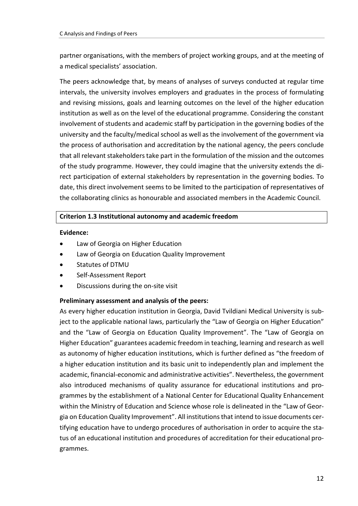partner organisations, with the members of project working groups, and at the meeting of a medical specialists' association.

The peers acknowledge that, by means of analyses of surveys conducted at regular time intervals, the university involves employers and graduates in the process of formulating and revising missions, goals and learning outcomes on the level of the higher education institution as well as on the level of the educational programme. Considering the constant involvement of students and academic staff by participation in the governing bodies of the university and the faculty/medical school as well as the involvement of the government via the process of authorisation and accreditation by the national agency, the peers conclude that all relevant stakeholders take part in the formulation of the mission and the outcomes of the study programme. However, they could imagine that the university extends the direct participation of external stakeholders by representation in the governing bodies. To date, this direct involvement seems to be limited to the participation of representatives of the collaborating clinics as honourable and associated members in the Academic Council.

#### **Criterion 1.3 Institutional autonomy and academic freedom**

#### **Evidence:**

- Law of Georgia on Higher Education
- Law of Georgia on Education Quality Improvement
- Statutes of DTMU
- Self-Assessment Report
- Discussions during the on-site visit

# **Preliminary assessment and analysis of the peers:**

As every higher education institution in Georgia, David Tvildiani Medical University is subject to the applicable national laws, particularly the "Law of Georgia on Higher Education" and the "Law of Georgia on Education Quality Improvement". The "Law of Georgia on Higher Education" guarantees academic freedom in teaching, learning and research as well as autonomy of higher education institutions, which is further defined as "the freedom of a higher education institution and its basic unit to independently plan and implement the academic, financial-economic and administrative activities". Nevertheless, the government also introduced mechanisms of quality assurance for educational institutions and programmes by the establishment of a National Center for Educational Quality Enhancement within the Ministry of Education and Science whose role is delineated in the "Law of Georgia on Education Quality Improvement". All institutions that intend to issue documents certifying education have to undergo procedures of authorisation in order to acquire the status of an educational institution and procedures of accreditation for their educational programmes.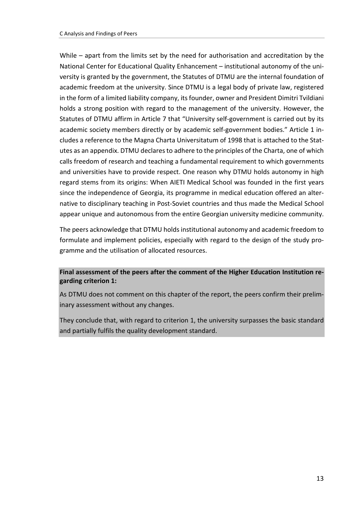While – apart from the limits set by the need for authorisation and accreditation by the National Center for Educational Quality Enhancement – institutional autonomy of the university is granted by the government, the Statutes of DTMU are the internal foundation of academic freedom at the university. Since DTMU is a legal body of private law, registered in the form of a limited liability company, its founder, owner and President Dimitri Tvildiani holds a strong position with regard to the management of the university. However, the Statutes of DTMU affirm in Article 7 that "University self-government is carried out by its academic society members directly or by academic self-government bodies." Article 1 includes a reference to the Magna Charta Universitatum of 1998 that is attached to the Statutes as an appendix. DTMU declares to adhere to the principles of the Charta, one of which calls freedom of research and teaching a fundamental requirement to which governments and universities have to provide respect. One reason why DTMU holds autonomy in high regard stems from its origins: When AIETI Medical School was founded in the first years since the independence of Georgia, its programme in medical education offered an alternative to disciplinary teaching in Post-Soviet countries and thus made the Medical School appear unique and autonomous from the entire Georgian university medicine community.

The peers acknowledge that DTMU holds institutional autonomy and academic freedom to formulate and implement policies, especially with regard to the design of the study programme and the utilisation of allocated resources.

# **Final assessment of the peers after the comment of the Higher Education Institution regarding criterion 1:**

As DTMU does not comment on this chapter of the report, the peers confirm their preliminary assessment without any changes.

They conclude that, with regard to criterion 1, the university surpasses the basic standard and partially fulfils the quality development standard.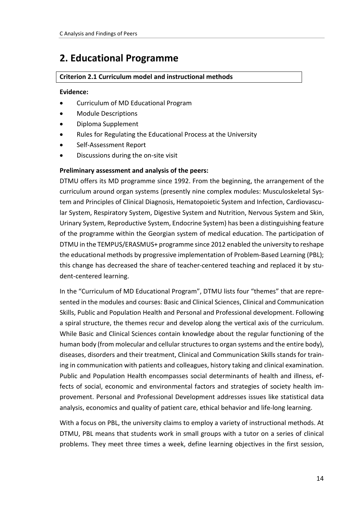# <span id="page-13-0"></span>**2. Educational Programme**

# **Criterion 2.1 Curriculum model and instructional methods**

### **Evidence:**

- Curriculum of MD Educational Program
- Module Descriptions
- Diploma Supplement
- Rules for Regulating the Educational Process at the University
- Self-Assessment Report
- Discussions during the on-site visit

# **Preliminary assessment and analysis of the peers:**

DTMU offers its MD programme since 1992. From the beginning, the arrangement of the curriculum around organ systems (presently nine complex modules: Musculoskeletal System and Principles of Clinical Diagnosis, Hematopoietic System and Infection, Cardiovascular System, Respiratory System, Digestive System and Nutrition, Nervous System and Skin, Urinary System, Reproductive System, Endocrine System) has been a distinguishing feature of the programme within the Georgian system of medical education. The participation of DTMU in the TEMPUS/ERASMUS+ programme since 2012 enabled the university to reshape the educational methods by progressive implementation of Problem-Based Learning (PBL); this change has decreased the share of teacher-centered teaching and replaced it by student-centered learning.

In the "Curriculum of MD Educational Program", DTMU lists four "themes" that are represented in the modules and courses: Basic and Clinical Sciences, Clinical and Communication Skills, Public and Population Health and Personal and Professional development. Following a spiral structure, the themes recur and develop along the vertical axis of the curriculum. While Basic and Clinical Sciences contain knowledge about the regular functioning of the human body (from molecular and cellular structures to organ systems and the entire body), diseases, disorders and their treatment, Clinical and Communication Skills stands for training in communication with patients and colleagues, history taking and clinical examination. Public and Population Health encompasses social determinants of health and illness, effects of social, economic and environmental factors and strategies of society health improvement. Personal and Professional Development addresses issues like statistical data analysis, economics and quality of patient care, ethical behavior and life-long learning.

With a focus on PBL, the university claims to employ a variety of instructional methods. At DTMU, PBL means that students work in small groups with a tutor on a series of clinical problems. They meet three times a week, define learning objectives in the first session,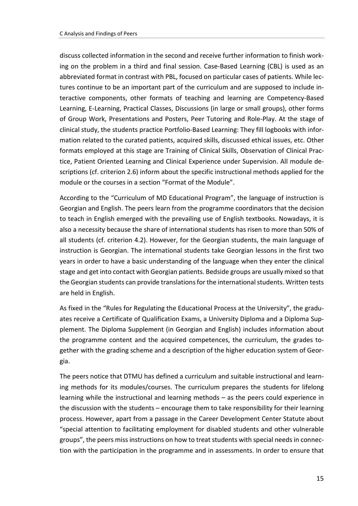discuss collected information in the second and receive further information to finish working on the problem in a third and final session. Case-Based Learning (CBL) is used as an abbreviated format in contrast with PBL, focused on particular cases of patients. While lectures continue to be an important part of the curriculum and are supposed to include interactive components, other formats of teaching and learning are Competency-Based Learning, E-Learning, Practical Classes, Discussions (in large or small groups), other forms of Group Work, Presentations and Posters, Peer Tutoring and Role-Play. At the stage of clinical study, the students practice Portfolio-Based Learning: They fill logbooks with information related to the curated patients, acquired skills, discussed ethical issues, etc. Other formats employed at this stage are Training of Clinical Skills, Observation of Clinical Practice, Patient Oriented Learning and Clinical Experience under Supervision. All module descriptions (cf. criterion 2.6) inform about the specific instructional methods applied for the module or the courses in a section "Format of the Module".

According to the "Curriculum of MD Educational Program", the language of instruction is Georgian and English. The peers learn from the programme coordinators that the decision to teach in English emerged with the prevailing use of English textbooks. Nowadays, it is also a necessity because the share of international students has risen to more than 50% of all students (cf. criterion 4.2). However, for the Georgian students, the main language of instruction is Georgian. The international students take Georgian lessons in the first two years in order to have a basic understanding of the language when they enter the clinical stage and get into contact with Georgian patients. Bedside groups are usually mixed so that the Georgian students can provide translations for the international students. Written tests are held in English.

As fixed in the "Rules for Regulating the Educational Process at the University", the graduates receive a Certificate of Qualification Exams, a University Diploma and a Diploma Supplement. The Diploma Supplement (in Georgian and English) includes information about the programme content and the acquired competences, the curriculum, the grades together with the grading scheme and a description of the higher education system of Georgia.

The peers notice that DTMU has defined a curriculum and suitable instructional and learning methods for its modules/courses. The curriculum prepares the students for lifelong learning while the instructional and learning methods – as the peers could experience in the discussion with the students – encourage them to take responsibility for their learning process. However, apart from a passage in the Career Development Center Statute about "special attention to facilitating employment for disabled students and other vulnerable groups", the peers miss instructions on how to treat students with special needs in connection with the participation in the programme and in assessments. In order to ensure that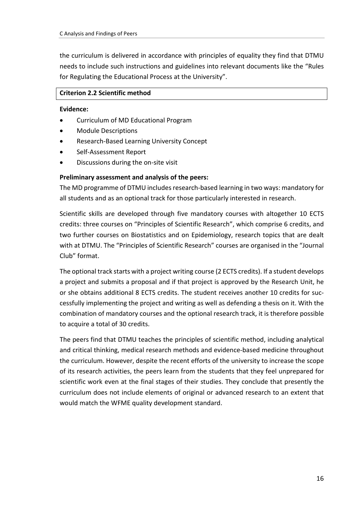the curriculum is delivered in accordance with principles of equality they find that DTMU needs to include such instructions and guidelines into relevant documents like the "Rules for Regulating the Educational Process at the University".

### **Criterion 2.2 Scientific method**

#### **Evidence:**

- Curriculum of MD Educational Program
- Module Descriptions
- Research-Based Learning University Concept
- Self-Assessment Report
- Discussions during the on-site visit

# **Preliminary assessment and analysis of the peers:**

The MD programme of DTMU includes research-based learning in two ways: mandatory for all students and as an optional track for those particularly interested in research.

Scientific skills are developed through five mandatory courses with altogether 10 ECTS credits: three courses on "Principles of Scientific Research", which comprise 6 credits, and two further courses on Biostatistics and on Epidemiology, research topics that are dealt with at DTMU. The "Principles of Scientific Research" courses are organised in the "Journal Club" format.

The optional track starts with a project writing course (2 ECTS credits). If a student develops a project and submits a proposal and if that project is approved by the Research Unit, he or she obtains additional 8 ECTS credits. The student receives another 10 credits for successfully implementing the project and writing as well as defending a thesis on it. With the combination of mandatory courses and the optional research track, it is therefore possible to acquire a total of 30 credits.

The peers find that DTMU teaches the principles of scientific method, including analytical and critical thinking, medical research methods and evidence-based medicine throughout the curriculum. However, despite the recent efforts of the university to increase the scope of its research activities, the peers learn from the students that they feel unprepared for scientific work even at the final stages of their studies. They conclude that presently the curriculum does not include elements of original or advanced research to an extent that would match the WFME quality development standard.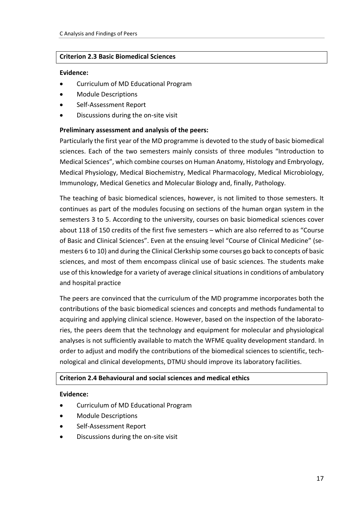#### **Criterion 2.3 Basic Biomedical Sciences**

#### **Evidence:**

- Curriculum of MD Educational Program
- Module Descriptions
- Self-Assessment Report
- Discussions during the on-site visit

#### **Preliminary assessment and analysis of the peers:**

Particularly the first year of the MD programme is devoted to the study of basic biomedical sciences. Each of the two semesters mainly consists of three modules "Introduction to Medical Sciences", which combine courses on Human Anatomy, Histology and Embryology, Medical Physiology, Medical Biochemistry, Medical Pharmacology, Medical Microbiology, Immunology, Medical Genetics and Molecular Biology and, finally, Pathology.

The teaching of basic biomedical sciences, however, is not limited to those semesters. It continues as part of the modules focusing on sections of the human organ system in the semesters 3 to 5. According to the university, courses on basic biomedical sciences cover about 118 of 150 credits of the first five semesters – which are also referred to as "Course of Basic and Clinical Sciences". Even at the ensuing level "Course of Clinical Medicine" (semesters 6 to 10) and during the Clinical Clerkship some courses go back to concepts of basic sciences, and most of them encompass clinical use of basic sciences. The students make use of this knowledge for a variety of average clinical situations in conditions of ambulatory and hospital practice

The peers are convinced that the curriculum of the MD programme incorporates both the contributions of the basic biomedical sciences and concepts and methods fundamental to acquiring and applying clinical science. However, based on the inspection of the laboratories, the peers deem that the technology and equipment for molecular and physiological analyses is not sufficiently available to match the WFME quality development standard. In order to adjust and modify the contributions of the biomedical sciences to scientific, technological and clinical developments, DTMU should improve its laboratory facilities.

#### **Criterion 2.4 Behavioural and social sciences and medical ethics**

#### **Evidence:**

- Curriculum of MD Educational Program
- Module Descriptions
- Self-Assessment Report
- Discussions during the on-site visit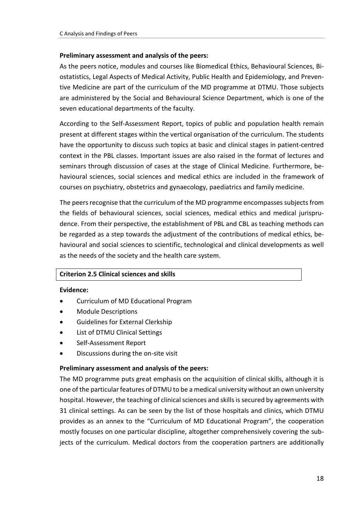### **Preliminary assessment and analysis of the peers:**

As the peers notice, modules and courses like Biomedical Ethics, Behavioural Sciences, Biostatistics, Legal Aspects of Medical Activity, Public Health and Epidemiology, and Preventive Medicine are part of the curriculum of the MD programme at DTMU. Those subjects are administered by the Social and Behavioural Science Department, which is one of the seven educational departments of the faculty.

According to the Self-Assessment Report, topics of public and population health remain present at different stages within the vertical organisation of the curriculum. The students have the opportunity to discuss such topics at basic and clinical stages in patient-centred context in the PBL classes. Important issues are also raised in the format of lectures and seminars through discussion of cases at the stage of Clinical Medicine. Furthermore, behavioural sciences, social sciences and medical ethics are included in the framework of courses on psychiatry, obstetrics and gynaecology, paediatrics and family medicine.

The peers recognise that the curriculum of the MD programme encompasses subjects from the fields of behavioural sciences, social sciences, medical ethics and medical jurisprudence. From their perspective, the establishment of PBL and CBL as teaching methods can be regarded as a step towards the adjustment of the contributions of medical ethics, behavioural and social sciences to scientific, technological and clinical developments as well as the needs of the society and the health care system.

# **Criterion 2.5 Clinical sciences and skills**

#### **Evidence:**

- Curriculum of MD Educational Program
- Module Descriptions
- Guidelines for External Clerkship
- List of DTMU Clinical Settings
- Self-Assessment Report
- Discussions during the on-site visit

#### **Preliminary assessment and analysis of the peers:**

The MD programme puts great emphasis on the acquisition of clinical skills, although it is one of the particular features of DTMU to be a medical university without an own university hospital. However, the teaching of clinical sciences and skills is secured by agreements with 31 clinical settings. As can be seen by the list of those hospitals and clinics, which DTMU provides as an annex to the "Curriculum of MD Educational Program", the cooperation mostly focuses on one particular discipline, altogether comprehensively covering the subjects of the curriculum. Medical doctors from the cooperation partners are additionally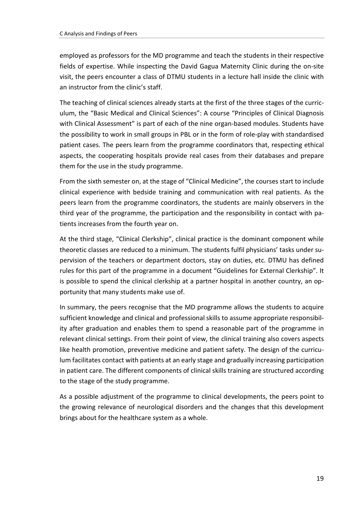employed as professors for the MD programme and teach the students in their respective fields of expertise. While inspecting the David Gagua Maternity Clinic during the on-site visit, the peers encounter a class of DTMU students in a lecture hall inside the clinic with an instructor from the clinic's staff.

The teaching of clinical sciences already starts at the first of the three stages of the curriculum, the "Basic Medical and Clinical Sciences": A course "Principles of Clinical Diagnosis with Clinical Assessment" is part of each of the nine organ-based modules. Students have the possibility to work in small groups in PBL or in the form of role-play with standardised patient cases. The peers learn from the programme coordinators that, respecting ethical aspects, the cooperating hospitals provide real cases from their databases and prepare them for the use in the study programme.

From the sixth semester on, at the stage of "Clinical Medicine", the courses start to include clinical experience with bedside training and communication with real patients. As the peers learn from the programme coordinators, the students are mainly observers in the third year of the programme, the participation and the responsibility in contact with patients increases from the fourth year on.

At the third stage, "Clinical Clerkship", clinical practice is the dominant component while theoretic classes are reduced to a minimum. The students fulfil physicians' tasks under supervision of the teachers or department doctors, stay on duties, etc. DTMU has defined rules for this part of the programme in a document "Guidelines for External Clerkship". It is possible to spend the clinical clerkship at a partner hospital in another country, an opportunity that many students make use of.

In summary, the peers recognise that the MD programme allows the students to acquire sufficient knowledge and clinical and professional skills to assume appropriate responsibility after graduation and enables them to spend a reasonable part of the programme in relevant clinical settings. From their point of view, the clinical training also covers aspects like health promotion, preventive medicine and patient safety. The design of the curriculum facilitates contact with patients at an early stage and gradually increasing participation in patient care. The different components of clinical skills training are structured according to the stage of the study programme.

As a possible adjustment of the programme to clinical developments, the peers point to the growing relevance of neurological disorders and the changes that this development brings about for the healthcare system as a whole.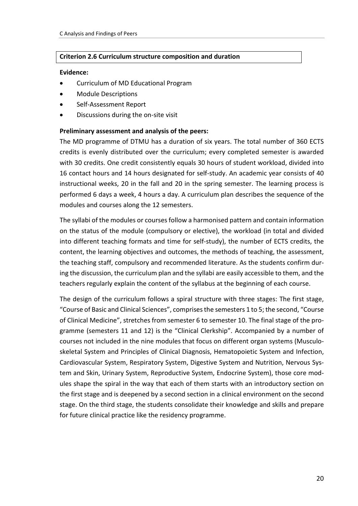### **Criterion 2.6 Curriculum structure composition and duration**

#### **Evidence:**

- Curriculum of MD Educational Program
- Module Descriptions
- Self-Assessment Report
- Discussions during the on-site visit

#### **Preliminary assessment and analysis of the peers:**

The MD programme of DTMU has a duration of six years. The total number of 360 ECTS credits is evenly distributed over the curriculum; every completed semester is awarded with 30 credits. One credit consistently equals 30 hours of student workload, divided into 16 contact hours and 14 hours designated for self-study. An academic year consists of 40 instructional weeks, 20 in the fall and 20 in the spring semester. The learning process is performed 6 days a week, 4 hours a day. A curriculum plan describes the sequence of the modules and courses along the 12 semesters.

The syllabi of the modules or courses follow a harmonised pattern and contain information on the status of the module (compulsory or elective), the workload (in total and divided into different teaching formats and time for self-study), the number of ECTS credits, the content, the learning objectives and outcomes, the methods of teaching, the assessment, the teaching staff, compulsory and recommended literature. As the students confirm during the discussion, the curriculum plan and the syllabi are easily accessible to them, and the teachers regularly explain the content of the syllabus at the beginning of each course.

The design of the curriculum follows a spiral structure with three stages: The first stage, "Course of Basic and Clinical Sciences", comprises the semesters 1 to 5; the second, "Course of Clinical Medicine", stretches from semester 6 to semester 10. The final stage of the programme (semesters 11 and 12) is the "Clinical Clerkship". Accompanied by a number of courses not included in the nine modules that focus on different organ systems (Musculoskeletal System and Principles of Clinical Diagnosis, Hematopoietic System and Infection, Cardiovascular System, Respiratory System, Digestive System and Nutrition, Nervous System and Skin, Urinary System, Reproductive System, Endocrine System), those core modules shape the spiral in the way that each of them starts with an introductory section on the first stage and is deepened by a second section in a clinical environment on the second stage. On the third stage, the students consolidate their knowledge and skills and prepare for future clinical practice like the residency programme.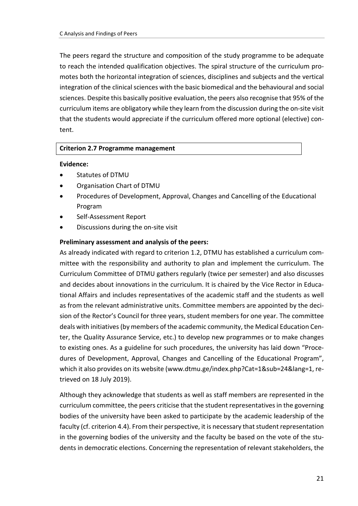The peers regard the structure and composition of the study programme to be adequate to reach the intended qualification objectives. The spiral structure of the curriculum promotes both the horizontal integration of sciences, disciplines and subjects and the vertical integration of the clinical sciences with the basic biomedical and the behavioural and social sciences. Despite this basically positive evaluation, the peers also recognise that 95% of the curriculum items are obligatory while they learn from the discussion during the on-site visit that the students would appreciate if the curriculum offered more optional (elective) content.

#### **Criterion 2.7 Programme management**

#### **Evidence:**

- Statutes of DTMU
- Organisation Chart of DTMU
- Procedures of Development, Approval, Changes and Cancelling of the Educational Program
- Self-Assessment Report
- Discussions during the on-site visit

#### **Preliminary assessment and analysis of the peers:**

As already indicated with regard to criterion 1.2, DTMU has established a curriculum committee with the responsibility and authority to plan and implement the curriculum. The Curriculum Committee of DTMU gathers regularly (twice per semester) and also discusses and decides about innovations in the curriculum. It is chaired by the Vice Rector in Educational Affairs and includes representatives of the academic staff and the students as well as from the relevant administrative units. Committee members are appointed by the decision of the Rector's Council for three years, student members for one year. The committee deals with initiatives (by members of the academic community, the Medical Education Center, the Quality Assurance Service, etc.) to develop new programmes or to make changes to existing ones. As a guideline for such procedures, the university has laid down "Procedures of Development, Approval, Changes and Cancelling of the Educational Program", which it also provides on its website (www.dtmu.ge/index.php?Cat=1&sub=24&lang=1, retrieved on 18 July 2019).

Although they acknowledge that students as well as staff members are represented in the curriculum committee, the peers criticise that the student representatives in the governing bodies of the university have been asked to participate by the academic leadership of the faculty (cf. criterion 4.4). From their perspective, it is necessary that student representation in the governing bodies of the university and the faculty be based on the vote of the students in democratic elections. Concerning the representation of relevant stakeholders, the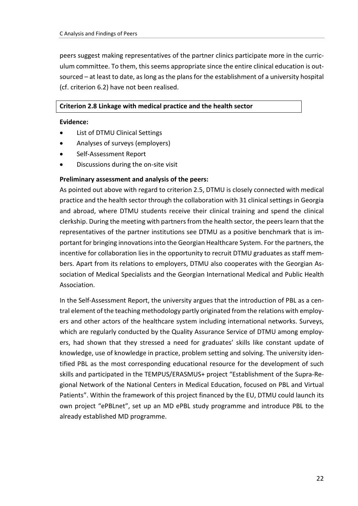peers suggest making representatives of the partner clinics participate more in the curriculum committee. To them, this seems appropriate since the entire clinical education is outsourced – at least to date, as long as the plans for the establishment of a university hospital (cf. criterion 6.2) have not been realised.

#### **Criterion 2.8 Linkage with medical practice and the health sector**

#### **Evidence:**

- List of DTMU Clinical Settings
- Analyses of surveys (employers)
- Self-Assessment Report
- Discussions during the on-site visit

#### **Preliminary assessment and analysis of the peers:**

As pointed out above with regard to criterion 2.5, DTMU is closely connected with medical practice and the health sector through the collaboration with 31 clinical settings in Georgia and abroad, where DTMU students receive their clinical training and spend the clinical clerkship. During the meeting with partners from the health sector, the peers learn that the representatives of the partner institutions see DTMU as a positive benchmark that is important for bringing innovations into the Georgian Healthcare System. For the partners, the incentive for collaboration lies in the opportunity to recruit DTMU graduates as staff members. Apart from its relations to employers, DTMU also cooperates with the Georgian Association of Medical Specialists and the Georgian International Medical and Public Health Association.

In the Self-Assessment Report, the university argues that the introduction of PBL as a central element of the teaching methodology partly originated from the relations with employers and other actors of the healthcare system including international networks. Surveys, which are regularly conducted by the Quality Assurance Service of DTMU among employers, had shown that they stressed a need for graduates' skills like constant update of knowledge, use of knowledge in practice, problem setting and solving. The university identified PBL as the most corresponding educational resource for the development of such skills and participated in the TEMPUS/ERASMUS+ project "Establishment of the Supra-Regional Network of the National Centers in Medical Education, focused on PBL and Virtual Patients". Within the framework of this project financed by the EU, DTMU could launch its own project "ePBLnet", set up an MD ePBL study programme and introduce PBL to the already established MD programme.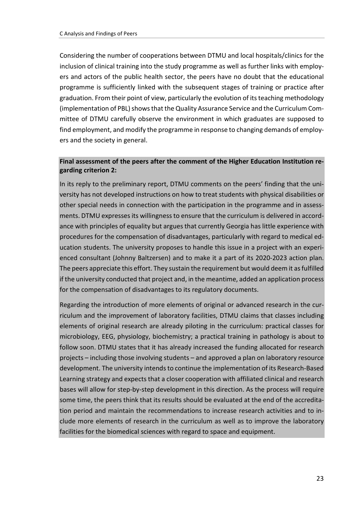Considering the number of cooperations between DTMU and local hospitals/clinics for the inclusion of clinical training into the study programme as well as further links with employers and actors of the public health sector, the peers have no doubt that the educational programme is sufficiently linked with the subsequent stages of training or practice after graduation. From their point of view, particularly the evolution of its teaching methodology (implementation of PBL) shows that the Quality Assurance Service and the Curriculum Committee of DTMU carefully observe the environment in which graduates are supposed to find employment, and modify the programme in response to changing demands of employers and the society in general.

# **Final assessment of the peers after the comment of the Higher Education Institution regarding criterion 2:**

In its reply to the preliminary report, DTMU comments on the peers' finding that the university has not developed instructions on how to treat students with physical disabilities or other special needs in connection with the participation in the programme and in assessments. DTMU expresses its willingness to ensure that the curriculum is delivered in accordance with principles of equality but argues that currently Georgia has little experience with procedures for the compensation of disadvantages, particularly with regard to medical education students. The university proposes to handle this issue in a project with an experienced consultant (Johnny Baltzersen) and to make it a part of its 2020-2023 action plan. The peers appreciate this effort. They sustain the requirement but would deem it as fulfilled if the university conducted that project and, in the meantime, added an application process for the compensation of disadvantages to its regulatory documents.

Regarding the introduction of more elements of original or advanced research in the curriculum and the improvement of laboratory facilities, DTMU claims that classes including elements of original research are already piloting in the curriculum: practical classes for microbiology, EEG, physiology, biochemistry; a practical training in pathology is about to follow soon. DTMU states that it has already increased the funding allocated for research projects – including those involving students – and approved a plan on laboratory resource development. The university intends to continue the implementation of its Research-Based Learning strategy and expects that a closer cooperation with affiliated clinical and research bases will allow for step-by-step development in this direction. As the process will require some time, the peers think that its results should be evaluated at the end of the accreditation period and maintain the recommendations to increase research activities and to include more elements of research in the curriculum as well as to improve the laboratory facilities for the biomedical sciences with regard to space and equipment.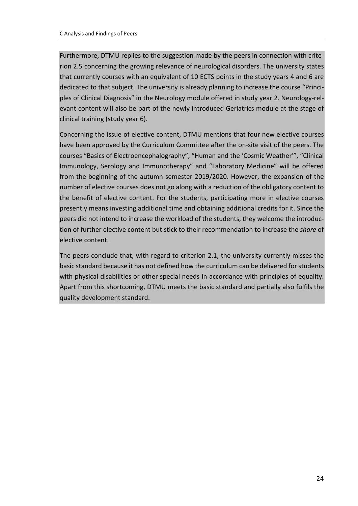Furthermore, DTMU replies to the suggestion made by the peers in connection with criterion 2.5 concerning the growing relevance of neurological disorders. The university states that currently courses with an equivalent of 10 ECTS points in the study years 4 and 6 are dedicated to that subject. The university is already planning to increase the course "Principles of Clinical Diagnosis" in the Neurology module offered in study year 2. Neurology-relevant content will also be part of the newly introduced Geriatrics module at the stage of clinical training (study year 6).

Concerning the issue of elective content, DTMU mentions that four new elective courses have been approved by the Curriculum Committee after the on-site visit of the peers. The courses "Basics of Electroencephalography", "Human and the 'Cosmic Weather'", "Clinical Immunology, Serology and Immunotherapy" and "Laboratory Medicine" will be offered from the beginning of the autumn semester 2019/2020. However, the expansion of the number of elective courses does not go along with a reduction of the obligatory content to the benefit of elective content. For the students, participating more in elective courses presently means investing additional time and obtaining additional credits for it. Since the peers did not intend to increase the workload of the students, they welcome the introduction of further elective content but stick to their recommendation to increase the *share* of elective content.

The peers conclude that, with regard to criterion 2.1, the university currently misses the basic standard because it has not defined how the curriculum can be delivered for students with physical disabilities or other special needs in accordance with principles of equality. Apart from this shortcoming, DTMU meets the basic standard and partially also fulfils the quality development standard.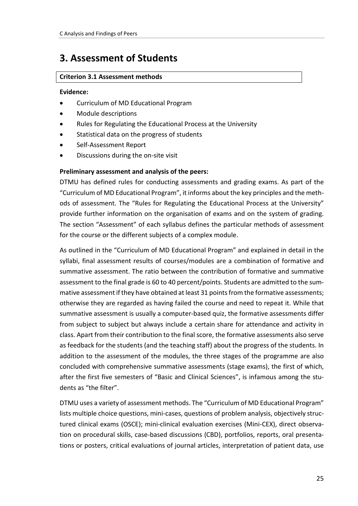# <span id="page-24-0"></span>**3. Assessment of Students**

# **Criterion 3.1 Assessment methods**

### **Evidence:**

- Curriculum of MD Educational Program
- Module descriptions
- Rules for Regulating the Educational Process at the University
- Statistical data on the progress of students
- Self-Assessment Report
- Discussions during the on-site visit

# **Preliminary assessment and analysis of the peers:**

DTMU has defined rules for conducting assessments and grading exams. As part of the "Curriculum of MD Educational Program", it informs about the key principles and the methods of assessment. The "Rules for Regulating the Educational Process at the University" provide further information on the organisation of exams and on the system of grading. The section "Assessment" of each syllabus defines the particular methods of assessment for the course or the different subjects of a complex module.

As outlined in the "Curriculum of MD Educational Program" and explained in detail in the syllabi, final assessment results of courses/modules are a combination of formative and summative assessment. The ratio between the contribution of formative and summative assessment to the final grade is 60 to 40 percent/points. Students are admitted to the summative assessment if they have obtained at least 31 points from the formative assessments; otherwise they are regarded as having failed the course and need to repeat it. While that summative assessment is usually a computer-based quiz, the formative assessments differ from subject to subject but always include a certain share for attendance and activity in class. Apart from their contribution to the final score, the formative assessments also serve as feedback for the students (and the teaching staff) about the progress of the students. In addition to the assessment of the modules, the three stages of the programme are also concluded with comprehensive summative assessments (stage exams), the first of which, after the first five semesters of "Basic and Clinical Sciences", is infamous among the students as "the filter".

DTMU uses a variety of assessment methods. The "Curriculum of MD Educational Program" lists multiple choice questions, mini-cases, questions of problem analysis, objectively structured clinical exams (OSCE); mini-clinical evaluation exercises (Mini-CEX), direct observation on procedural skills, case-based discussions (CBD), portfolios, reports, oral presentations or posters, critical evaluations of journal articles, interpretation of patient data, use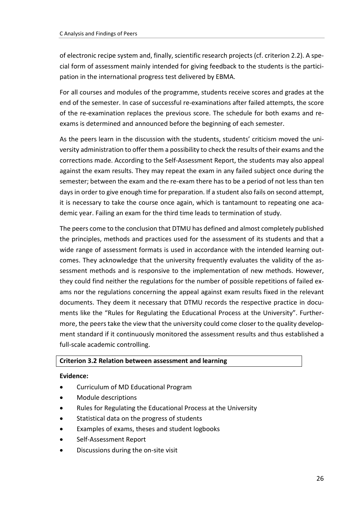of electronic recipe system and, finally, scientific research projects (cf. criterion 2.2). A special form of assessment mainly intended for giving feedback to the students is the participation in the international progress test delivered by EBMA.

For all courses and modules of the programme, students receive scores and grades at the end of the semester. In case of successful re-examinations after failed attempts, the score of the re-examination replaces the previous score. The schedule for both exams and reexams is determined and announced before the beginning of each semester.

As the peers learn in the discussion with the students, students' criticism moved the university administration to offer them a possibility to check the results of their exams and the corrections made. According to the Self-Assessment Report, the students may also appeal against the exam results. They may repeat the exam in any failed subject once during the semester; between the exam and the re-exam there has to be a period of not less than ten days in order to give enough time for preparation. If a student also fails on second attempt, it is necessary to take the course once again, which is tantamount to repeating one academic year. Failing an exam for the third time leads to termination of study.

The peers come to the conclusion that DTMU has defined and almost completely published the principles, methods and practices used for the assessment of its students and that a wide range of assessment formats is used in accordance with the intended learning outcomes. They acknowledge that the university frequently evaluates the validity of the assessment methods and is responsive to the implementation of new methods. However, they could find neither the regulations for the number of possible repetitions of failed exams nor the regulations concerning the appeal against exam results fixed in the relevant documents. They deem it necessary that DTMU records the respective practice in documents like the "Rules for Regulating the Educational Process at the University". Furthermore, the peers take the view that the university could come closer to the quality development standard if it continuously monitored the assessment results and thus established a full-scale academic controlling.

# **Criterion 3.2 Relation between assessment and learning**

#### **Evidence:**

- Curriculum of MD Educational Program
- Module descriptions
- Rules for Regulating the Educational Process at the University
- Statistical data on the progress of students
- Examples of exams, theses and student logbooks
- Self-Assessment Report
- Discussions during the on-site visit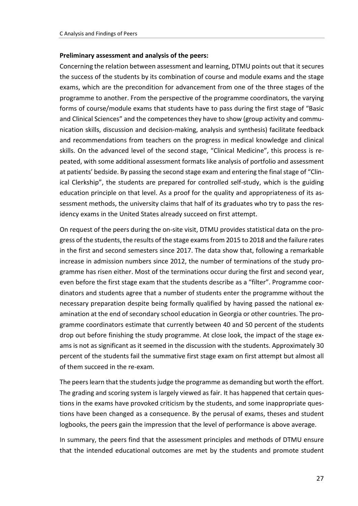#### **Preliminary assessment and analysis of the peers:**

Concerning the relation between assessment and learning, DTMU points out that it secures the success of the students by its combination of course and module exams and the stage exams, which are the precondition for advancement from one of the three stages of the programme to another. From the perspective of the programme coordinators, the varying forms of course/module exams that students have to pass during the first stage of "Basic and Clinical Sciences" and the competences they have to show (group activity and communication skills, discussion and decision-making, analysis and synthesis) facilitate feedback and recommendations from teachers on the progress in medical knowledge and clinical skills. On the advanced level of the second stage, "Clinical Medicine", this process is repeated, with some additional assessment formats like analysis of portfolio and assessment at patients' bedside. By passing the second stage exam and entering the final stage of "Clinical Clerkship", the students are prepared for controlled self-study, which is the guiding education principle on that level. As a proof for the quality and appropriateness of its assessment methods, the university claims that half of its graduates who try to pass the residency exams in the United States already succeed on first attempt.

On request of the peers during the on-site visit, DTMU provides statistical data on the progress of the students, the results of the stage exams from 2015 to 2018 and the failure rates in the first and second semesters since 2017. The data show that, following a remarkable increase in admission numbers since 2012, the number of terminations of the study programme has risen either. Most of the terminations occur during the first and second year, even before the first stage exam that the students describe as a "filter". Programme coordinators and students agree that a number of students enter the programme without the necessary preparation despite being formally qualified by having passed the national examination at the end of secondary school education in Georgia or other countries. The programme coordinators estimate that currently between 40 and 50 percent of the students drop out before finishing the study programme. At close look, the impact of the stage exams is not as significant as it seemed in the discussion with the students. Approximately 30 percent of the students fail the summative first stage exam on first attempt but almost all of them succeed in the re-exam.

The peers learn that the students judge the programme as demanding but worth the effort. The grading and scoring system is largely viewed as fair. It has happened that certain questions in the exams have provoked criticism by the students, and some inappropriate questions have been changed as a consequence. By the perusal of exams, theses and student logbooks, the peers gain the impression that the level of performance is above average.

In summary, the peers find that the assessment principles and methods of DTMU ensure that the intended educational outcomes are met by the students and promote student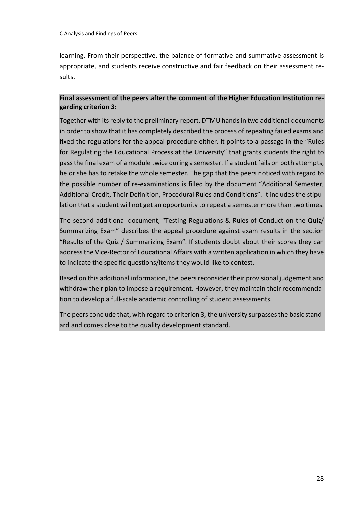learning. From their perspective, the balance of formative and summative assessment is appropriate, and students receive constructive and fair feedback on their assessment results.

# **Final assessment of the peers after the comment of the Higher Education Institution regarding criterion 3:**

Together with its reply to the preliminary report, DTMU hands in two additional documents in order to show that it has completely described the process of repeating failed exams and fixed the regulations for the appeal procedure either. It points to a passage in the "Rules for Regulating the Educational Process at the University" that grants students the right to pass the final exam of a module twice during a semester. If a student fails on both attempts, he or she has to retake the whole semester. The gap that the peers noticed with regard to the possible number of re-examinations is filled by the document "Additional Semester, Additional Credit, Their Definition, Procedural Rules and Conditions". It includes the stipulation that a student will not get an opportunity to repeat a semester more than two times.

The second additional document, "Testing Regulations & Rules of Conduct on the Quiz/ Summarizing Exam" describes the appeal procedure against exam results in the section "Results of the Quiz / Summarizing Exam". If students doubt about their scores they can address the Vice-Rector of Educational Affairs with a written application in which they have to indicate the specific questions/items they would like to contest.

Based on this additional information, the peers reconsider their provisional judgement and withdraw their plan to impose a requirement. However, they maintain their recommendation to develop a full-scale academic controlling of student assessments.

The peers conclude that, with regard to criterion 3, the university surpasses the basic standard and comes close to the quality development standard.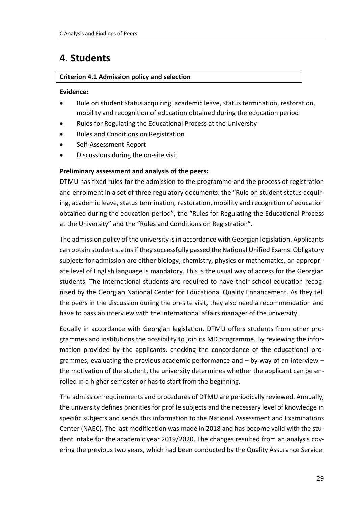# <span id="page-28-0"></span>**4. Students**

# **Criterion 4.1 Admission policy and selection**

#### **Evidence:**

- Rule on student status acquiring, academic leave, status termination, restoration, mobility and recognition of education obtained during the education period
- Rules for Regulating the Educational Process at the University
- Rules and Conditions on Registration
- Self-Assessment Report
- Discussions during the on-site visit

# **Preliminary assessment and analysis of the peers:**

DTMU has fixed rules for the admission to the programme and the process of registration and enrolment in a set of three regulatory documents: the "Rule on student status acquiring, academic leave, status termination, restoration, mobility and recognition of education obtained during the education period", the "Rules for Regulating the Educational Process at the University" and the "Rules and Conditions on Registration".

The admission policy of the university is in accordance with Georgian legislation. Applicants can obtain student status if they successfully passed the National Unified Exams. Obligatory subjects for admission are either biology, chemistry, physics or mathematics, an appropriate level of English language is mandatory. This is the usual way of access for the Georgian students. The international students are required to have their school education recognised by the Georgian National Center for Educational Quality Enhancement. As they tell the peers in the discussion during the on-site visit, they also need a recommendation and have to pass an interview with the international affairs manager of the university.

Equally in accordance with Georgian legislation, DTMU offers students from other programmes and institutions the possibility to join its MD programme. By reviewing the information provided by the applicants, checking the concordance of the educational programmes, evaluating the previous academic performance and  $-$  by way of an interview  $$ the motivation of the student, the university determines whether the applicant can be enrolled in a higher semester or has to start from the beginning.

The admission requirements and procedures of DTMU are periodically reviewed. Annually, the university defines priorities for profile subjects and the necessary level of knowledge in specific subjects and sends this information to the National Assessment and Examinations Center (NAEC). The last modification was made in 2018 and has become valid with the student intake for the academic year 2019/2020. The changes resulted from an analysis covering the previous two years, which had been conducted by the Quality Assurance Service.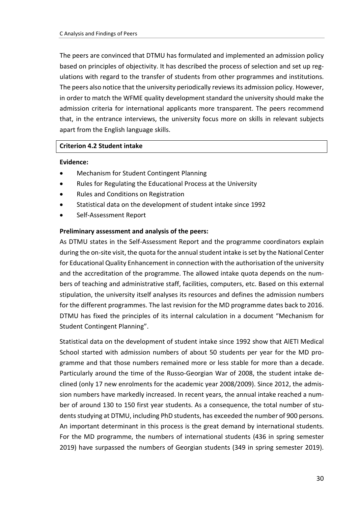The peers are convinced that DTMU has formulated and implemented an admission policy based on principles of objectivity. It has described the process of selection and set up regulations with regard to the transfer of students from other programmes and institutions. The peers also notice that the university periodically reviewsits admission policy. However, in order to match the WFME quality development standard the university should make the admission criteria for international applicants more transparent. The peers recommend that, in the entrance interviews, the university focus more on skills in relevant subjects apart from the English language skills.

#### **Criterion 4.2 Student intake**

#### **Evidence:**

- Mechanism for Student Contingent Planning
- Rules for Regulating the Educational Process at the University
- Rules and Conditions on Registration
- Statistical data on the development of student intake since 1992
- Self-Assessment Report

#### **Preliminary assessment and analysis of the peers:**

As DTMU states in the Self-Assessment Report and the programme coordinators explain during the on-site visit, the quota for the annual student intake is set by the National Center for Educational Quality Enhancement in connection with the authorisation of the university and the accreditation of the programme. The allowed intake quota depends on the numbers of teaching and administrative staff, facilities, computers, etc. Based on this external stipulation, the university itself analyses its resources and defines the admission numbers for the different programmes. The last revision for the MD programme dates back to 2016. DTMU has fixed the principles of its internal calculation in a document "Mechanism for Student Contingent Planning".

Statistical data on the development of student intake since 1992 show that AIETI Medical School started with admission numbers of about 50 students per year for the MD programme and that those numbers remained more or less stable for more than a decade. Particularly around the time of the Russo-Georgian War of 2008, the student intake declined (only 17 new enrolments for the academic year 2008/2009). Since 2012, the admission numbers have markedly increased. In recent years, the annual intake reached a number of around 130 to 150 first year students. As a consequence, the total number of students studying at DTMU, including PhD students, has exceeded the number of 900 persons. An important determinant in this process is the great demand by international students. For the MD programme, the numbers of international students (436 in spring semester 2019) have surpassed the numbers of Georgian students (349 in spring semester 2019).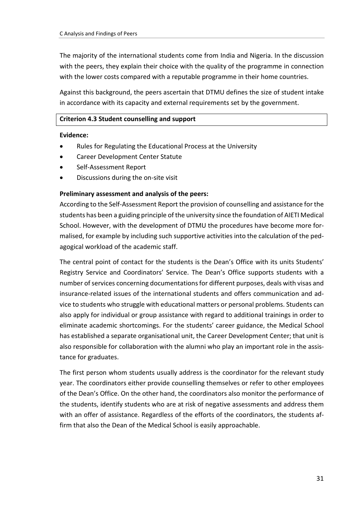The majority of the international students come from India and Nigeria. In the discussion with the peers, they explain their choice with the quality of the programme in connection with the lower costs compared with a reputable programme in their home countries.

Against this background, the peers ascertain that DTMU defines the size of student intake in accordance with its capacity and external requirements set by the government.

### **Criterion 4.3 Student counselling and support**

#### **Evidence:**

- Rules for Regulating the Educational Process at the University
- Career Development Center Statute
- Self-Assessment Report
- Discussions during the on-site visit

#### **Preliminary assessment and analysis of the peers:**

According to the Self-Assessment Report the provision of counselling and assistance for the students has been a guiding principle of the university since the foundation of AIETI Medical School. However, with the development of DTMU the procedures have become more formalised, for example by including such supportive activities into the calculation of the pedagogical workload of the academic staff.

The central point of contact for the students is the Dean's Office with its units Students' Registry Service and Coordinators' Service. The Dean's Office supports students with a number of services concerning documentations for different purposes, deals with visas and insurance-related issues of the international students and offers communication and advice to students who struggle with educational matters or personal problems. Students can also apply for individual or group assistance with regard to additional trainings in order to eliminate academic shortcomings. For the students' career guidance, the Medical School has established a separate organisational unit, the Career Development Center; that unit is also responsible for collaboration with the alumni who play an important role in the assistance for graduates.

The first person whom students usually address is the coordinator for the relevant study year. The coordinators either provide counselling themselves or refer to other employees of the Dean's Office. On the other hand, the coordinators also monitor the performance of the students, identify students who are at risk of negative assessments and address them with an offer of assistance. Regardless of the efforts of the coordinators, the students affirm that also the Dean of the Medical School is easily approachable.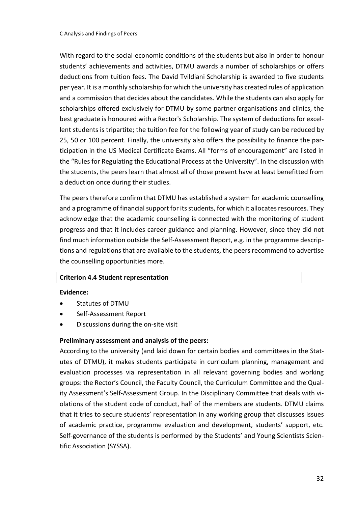With regard to the social-economic conditions of the students but also in order to honour students' achievements and activities, DTMU awards a number of scholarships or offers deductions from tuition fees. The David Tvildiani Scholarship is awarded to five students per year. It is a monthly scholarship for which the university has created rules of application and a commission that decides about the candidates. While the students can also apply for scholarships offered exclusively for DTMU by some partner organisations and clinics, the best graduate is honoured with a Rector's Scholarship. The system of deductions for excellent students is tripartite; the tuition fee for the following year of study can be reduced by 25, 50 or 100 percent. Finally, the university also offers the possibility to finance the participation in the US Medical Certificate Exams. All "forms of encouragement" are listed in the "Rules for Regulating the Educational Process at the University". In the discussion with the students, the peers learn that almost all of those present have at least benefitted from a deduction once during their studies.

The peers therefore confirm that DTMU has established a system for academic counselling and a programme of financial support for its students, for which it allocates resources. They acknowledge that the academic counselling is connected with the monitoring of student progress and that it includes career guidance and planning. However, since they did not find much information outside the Self-Assessment Report, e.g. in the programme descriptions and regulations that are available to the students, the peers recommend to advertise the counselling opportunities more.

#### **Criterion 4.4 Student representation**

#### **Evidence:**

- Statutes of DTMU
- Self-Assessment Report
- Discussions during the on-site visit

# **Preliminary assessment and analysis of the peers:**

According to the university (and laid down for certain bodies and committees in the Statutes of DTMU), it makes students participate in curriculum planning, management and evaluation processes via representation in all relevant governing bodies and working groups: the Rector's Council, the Faculty Council, the Curriculum Committee and the Quality Assessment's Self-Assessment Group. In the Disciplinary Committee that deals with violations of the student code of conduct, half of the members are students. DTMU claims that it tries to secure students' representation in any working group that discusses issues of academic practice, programme evaluation and development, students' support, etc. Self-governance of the students is performed by the Students' and Young Scientists Scientific Association (SYSSA).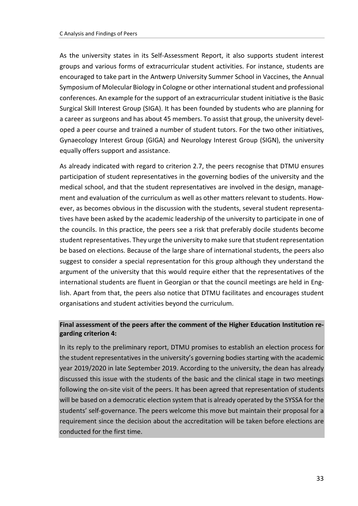As the university states in its Self-Assessment Report, it also supports student interest groups and various forms of extracurricular student activities. For instance, students are encouraged to take part in the Antwerp University Summer School in Vaccines, the Annual Symposium of Molecular Biology in Cologne or other international student and professional conferences. An example for the support of an extracurricular student initiative is the Basic Surgical Skill Interest Group (SIGA). It has been founded by students who are planning for a career as surgeons and has about 45 members. To assist that group, the university developed a peer course and trained a number of student tutors. For the two other initiatives, Gynaecology Interest Group (GIGA) and Neurology Interest Group (SIGN), the university equally offers support and assistance.

As already indicated with regard to criterion 2.7, the peers recognise that DTMU ensures participation of student representatives in the governing bodies of the university and the medical school, and that the student representatives are involved in the design, management and evaluation of the curriculum as well as other matters relevant to students. However, as becomes obvious in the discussion with the students, several student representatives have been asked by the academic leadership of the university to participate in one of the councils. In this practice, the peers see a risk that preferably docile students become student representatives. They urge the university to make sure that student representation be based on elections. Because of the large share of international students, the peers also suggest to consider a special representation for this group although they understand the argument of the university that this would require either that the representatives of the international students are fluent in Georgian or that the council meetings are held in English. Apart from that, the peers also notice that DTMU facilitates and encourages student organisations and student activities beyond the curriculum.

# **Final assessment of the peers after the comment of the Higher Education Institution regarding criterion 4:**

In its reply to the preliminary report, DTMU promises to establish an election process for the student representatives in the university's governing bodies starting with the academic year 2019/2020 in late September 2019. According to the university, the dean has already discussed this issue with the students of the basic and the clinical stage in two meetings following the on-site visit of the peers. It has been agreed that representation of students will be based on a democratic election system that is already operated by the SYSSA for the students' self-governance. The peers welcome this move but maintain their proposal for a requirement since the decision about the accreditation will be taken before elections are conducted for the first time.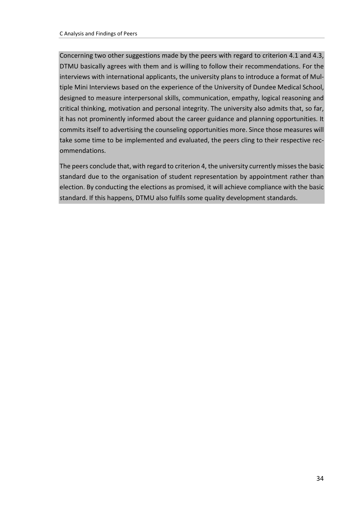Concerning two other suggestions made by the peers with regard to criterion 4.1 and 4.3, DTMU basically agrees with them and is willing to follow their recommendations. For the interviews with international applicants, the university plans to introduce a format of Multiple Mini Interviews based on the experience of the University of Dundee Medical School, designed to measure interpersonal skills, communication, empathy, logical reasoning and critical thinking, motivation and personal integrity. The university also admits that, so far, it has not prominently informed about the career guidance and planning opportunities. It commits itself to advertising the counseling opportunities more. Since those measures will take some time to be implemented and evaluated, the peers cling to their respective recommendations.

The peers conclude that, with regard to criterion 4, the university currently misses the basic standard due to the organisation of student representation by appointment rather than election. By conducting the elections as promised, it will achieve compliance with the basic standard. If this happens, DTMU also fulfils some quality development standards.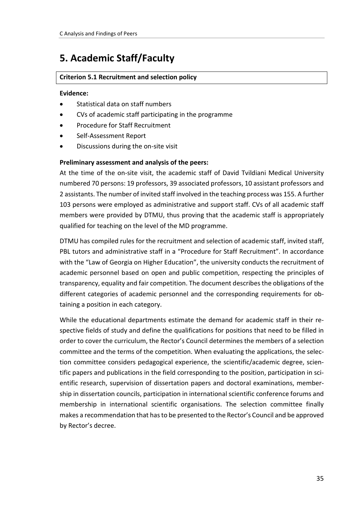# <span id="page-34-0"></span>**5. Academic Staff/Faculty**

# **Criterion 5.1 Recruitment and selection policy**

#### **Evidence:**

- Statistical data on staff numbers
- CVs of academic staff participating in the programme
- Procedure for Staff Recruitment
- Self-Assessment Report
- Discussions during the on-site visit

# **Preliminary assessment and analysis of the peers:**

At the time of the on-site visit, the academic staff of David Tvildiani Medical University numbered 70 persons: 19 professors, 39 associated professors, 10 assistant professors and 2 assistants. The number of invited staff involved in the teaching process was 155. A further 103 persons were employed as administrative and support staff. CVs of all academic staff members were provided by DTMU, thus proving that the academic staff is appropriately qualified for teaching on the level of the MD programme.

DTMU has compiled rules for the recruitment and selection of academic staff, invited staff, PBL tutors and administrative staff in a "Procedure for Staff Recruitment". In accordance with the "Law of Georgia on Higher Education", the university conducts the recruitment of academic personnel based on open and public competition, respecting the principles of transparency, equality and fair competition. The document describes the obligations of the different categories of academic personnel and the corresponding requirements for obtaining a position in each category.

While the educational departments estimate the demand for academic staff in their respective fields of study and define the qualifications for positions that need to be filled in order to cover the curriculum, the Rector's Council determines the members of a selection committee and the terms of the competition. When evaluating the applications, the selection committee considers pedagogical experience, the scientific/academic degree, scientific papers and publications in the field corresponding to the position, participation in scientific research, supervision of dissertation papers and doctoral examinations, membership in dissertation councils, participation in international scientific conference forums and membership in international scientific organisations. The selection committee finally makes a recommendation that has to be presented to the Rector's Council and be approved by Rector's decree.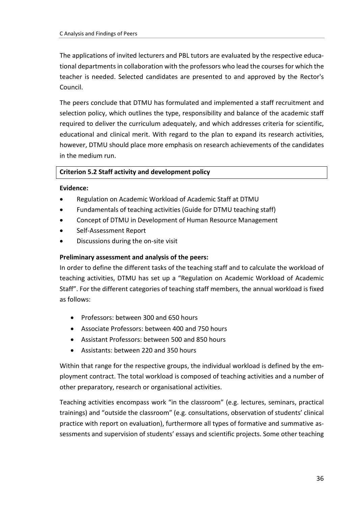The applications of invited lecturers and PBL tutors are evaluated by the respective educational departments in collaboration with the professors who lead the courses for which the teacher is needed. Selected candidates are presented to and approved by the Rector's Council.

The peers conclude that DTMU has formulated and implemented a staff recruitment and selection policy, which outlines the type, responsibility and balance of the academic staff required to deliver the curriculum adequately, and which addresses criteria for scientific, educational and clinical merit. With regard to the plan to expand its research activities, however, DTMU should place more emphasis on research achievements of the candidates in the medium run.

# **Criterion 5.2 Staff activity and development policy**

#### **Evidence:**

- Regulation on Academic Workload of Academic Staff at DTMU
- Fundamentals of teaching activities (Guide for DTMU teaching staff)
- Concept of DTMU in Development of Human Resource Management
- Self-Assessment Report
- Discussions during the on-site visit

#### **Preliminary assessment and analysis of the peers:**

In order to define the different tasks of the teaching staff and to calculate the workload of teaching activities, DTMU has set up a "Regulation on Academic Workload of Academic Staff". For the different categories of teaching staff members, the annual workload is fixed as follows:

- Professors: between 300 and 650 hours
- Associate Professors: between 400 and 750 hours
- Assistant Professors: between 500 and 850 hours
- Assistants: between 220 and 350 hours

Within that range for the respective groups, the individual workload is defined by the employment contract. The total workload is composed of teaching activities and a number of other preparatory, research or organisational activities.

Teaching activities encompass work "in the classroom" (e.g. lectures, seminars, practical trainings) and "outside the classroom" (e.g. consultations, observation of students' clinical practice with report on evaluation), furthermore all types of formative and summative assessments and supervision of students' essays and scientific projects. Some other teaching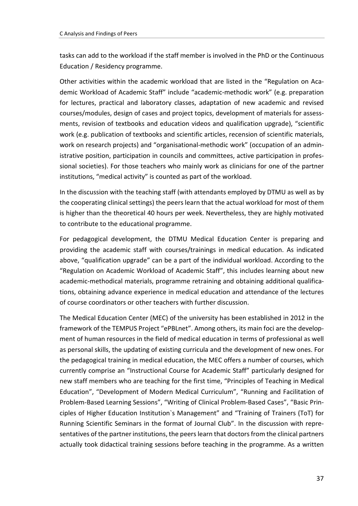tasks can add to the workload if the staff member is involved in the PhD or the Continuous Education / Residency programme.

Other activities within the academic workload that are listed in the "Regulation on Academic Workload of Academic Staff" include "academic-methodic work" (e.g. preparation for lectures, practical and laboratory classes, adaptation of new academic and revised courses/modules, design of cases and project topics, development of materials for assessments, revision of textbooks and education videos and qualification upgrade), "scientific work (e.g. publication of textbooks and scientific articles, recension of scientific materials, work on research projects) and "organisational-methodic work" (occupation of an administrative position, participation in councils and committees, active participation in professional societies). For those teachers who mainly work as clinicians for one of the partner institutions, "medical activity" is counted as part of the workload.

In the discussion with the teaching staff (with attendants employed by DTMU as well as by the cooperating clinical settings) the peers learn that the actual workload for most of them is higher than the theoretical 40 hours per week. Nevertheless, they are highly motivated to contribute to the educational programme.

For pedagogical development, the DTMU Medical Education Center is preparing and providing the academic staff with courses/trainings in medical education. As indicated above, "qualification upgrade" can be a part of the individual workload. According to the "Regulation on Academic Workload of Academic Staff", this includes learning about new academic-methodical materials, programme retraining and obtaining additional qualifications, obtaining advance experience in medical education and attendance of the lectures of course coordinators or other teachers with further discussion.

The Medical Education Center (MEC) of the university has been established in 2012 in the framework of the TEMPUS Project "ePBLnet". Among others, its main foci are the development of human resources in the field of medical education in terms of professional as well as personal skills, the updating of existing curricula and the development of new ones. For the pedagogical training in medical education, the MEC offers a number of courses, which currently comprise an "Instructional Course for Academic Staff" particularly designed for new staff members who are teaching for the first time, "Principles of Teaching in Medical Education", "Development of Modern Medical Curriculum", "Running and Facilitation of Problem-Based Learning Sessions", "Writing of Clinical Problem-Based Cases", "Basic Principles of Higher Education Institution`s Management" and "Training of Trainers (ToT) for Running Scientific Seminars in the format of Journal Club". In the discussion with representatives of the partner institutions, the peers learn that doctors from the clinical partners actually took didactical training sessions before teaching in the programme. As a written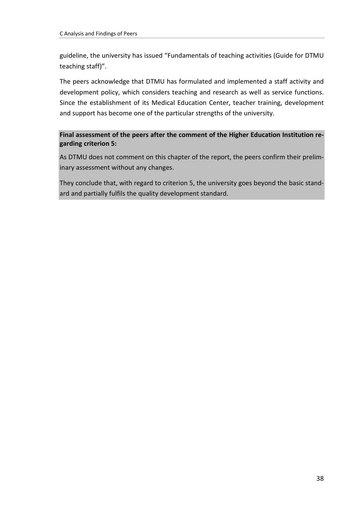guideline, the university has issued "Fundamentals of teaching activities (Guide for DTMU teaching staff)".

The peers acknowledge that DTMU has formulated and implemented a staff activity and development policy, which considers teaching and research as well as service functions. Since the establishment of its Medical Education Center, teacher training, development and support has become one of the particular strengths of the university.

**Final assessment of the peers after the comment of the Higher Education Institution regarding criterion 5:**

As DTMU does not comment on this chapter of the report, the peers confirm their preliminary assessment without any changes.

They conclude that, with regard to criterion 5, the university goes beyond the basic standard and partially fulfils the quality development standard.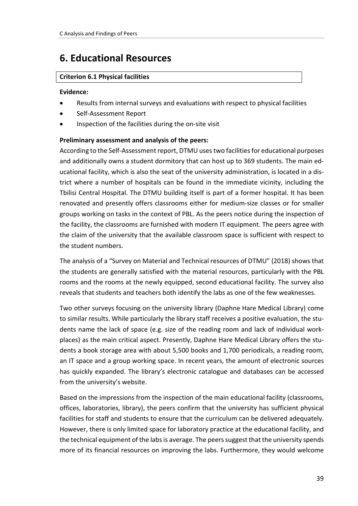# <span id="page-38-0"></span>**6. Educational Resources**

# **Criterion 6.1 Physical facilities**

#### **Evidence:**

- Results from internal surveys and evaluations with respect to physical facilities
- Self-Assessment Report
- Inspection of the facilities during the on-site visit

# **Preliminary assessment and analysis of the peers:**

According to the Self-Assessment report, DTMU usestwo facilities for educational purposes and additionally owns a student dormitory that can host up to 369 students. The main educational facility, which is also the seat of the university administration, is located in a district where a number of hospitals can be found in the immediate vicinity, including the Tbilisi Central Hospital. The DTMU building itself is part of a former hospital. It has been renovated and presently offers classrooms either for medium-size classes or for smaller groups working on tasks in the context of PBL. As the peers notice during the inspection of the facility, the classrooms are furnished with modern IT equipment. The peers agree with the claim of the university that the available classroom space is sufficient with respect to the student numbers.

The analysis of a "Survey on Material and Technical resources of DTMU" (2018) shows that the students are generally satisfied with the material resources, particularly with the PBL rooms and the rooms at the newly equipped, second educational facility. The survey also reveals that students and teachers both identify the labs as one of the few weaknesses.

Two other surveys focusing on the university library (Daphne Hare Medical Library) come to similar results. While particularly the library staff receives a positive evaluation, the students name the lack of space (e.g. size of the reading room and lack of individual workplaces) as the main critical aspect. Presently, Daphne Hare Medical Library offers the students a book storage area with about 5,500 books and 1,700 periodicals, a reading room, an IT space and a group working space. In recent years, the amount of electronic sources has quickly expanded. The library's electronic catalogue and databases can be accessed from the university's website.

Based on the impressions from the inspection of the main educational facility (classrooms, offices, laboratories, library), the peers confirm that the university has sufficient physical facilities for staff and students to ensure that the curriculum can be delivered adequately. However, there is only limited space for laboratory practice at the educational facility, and the technical equipment of the labs is average. The peers suggest that the university spends more of its financial resources on improving the labs. Furthermore, they would welcome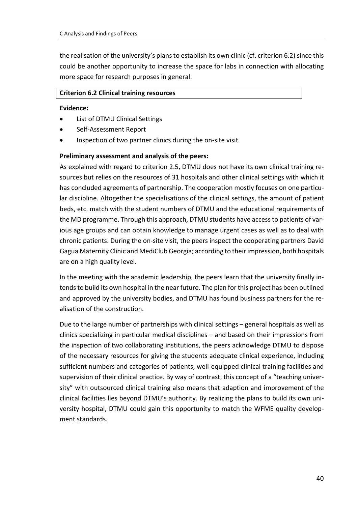the realisation of the university's plans to establish its own clinic (cf. criterion 6.2) since this could be another opportunity to increase the space for labs in connection with allocating more space for research purposes in general.

#### **Criterion 6.2 Clinical training resources**

#### **Evidence:**

- List of DTMU Clinical Settings
- Self-Assessment Report
- Inspection of two partner clinics during the on-site visit

# **Preliminary assessment and analysis of the peers:**

As explained with regard to criterion 2.5, DTMU does not have its own clinical training resources but relies on the resources of 31 hospitals and other clinical settings with which it has concluded agreements of partnership. The cooperation mostly focuses on one particular discipline. Altogether the specialisations of the clinical settings, the amount of patient beds, etc. match with the student numbers of DTMU and the educational requirements of the MD programme. Through this approach, DTMU students have access to patients of various age groups and can obtain knowledge to manage urgent cases as well as to deal with chronic patients. During the on-site visit, the peers inspect the cooperating partners David Gagua Maternity Clinic and MediClub Georgia; according to their impression, both hospitals are on a high quality level.

In the meeting with the academic leadership, the peers learn that the university finally intends to build its own hospital in the near future. The plan for this project has been outlined and approved by the university bodies, and DTMU has found business partners for the realisation of the construction.

Due to the large number of partnerships with clinical settings – general hospitals as well as clinics specializing in particular medical disciplines – and based on their impressions from the inspection of two collaborating institutions, the peers acknowledge DTMU to dispose of the necessary resources for giving the students adequate clinical experience, including sufficient numbers and categories of patients, well-equipped clinical training facilities and supervision of their clinical practice. By way of contrast, this concept of a "teaching university" with outsourced clinical training also means that adaption and improvement of the clinical facilities lies beyond DTMU's authority. By realizing the plans to build its own university hospital, DTMU could gain this opportunity to match the WFME quality development standards.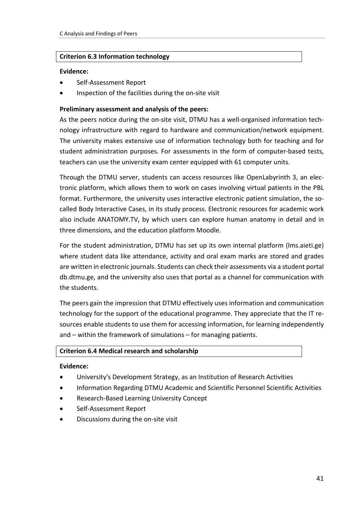#### **Criterion 6.3 Information technology**

#### **Evidence:**

- Self-Assessment Report
- Inspection of the facilities during the on-site visit

#### **Preliminary assessment and analysis of the peers:**

As the peers notice during the on-site visit, DTMU has a well-organised information technology infrastructure with regard to hardware and communication/network equipment. The university makes extensive use of information technology both for teaching and for student administration purposes. For assessments in the form of computer-based tests, teachers can use the university exam center equipped with 61 computer units.

Through the DTMU server, students can access resources like OpenLabyrinth 3, an electronic platform, which allows them to work on cases involving virtual patients in the PBL format. Furthermore, the university uses interactive electronic patient simulation, the socalled Body Interactive Cases, in its study process. Electronic resources for academic work also include ANATOMY.TV, by which users can explore human anatomy in detail and in three dimensions, and the education platform Moodle.

For the student administration, DTMU has set up its own internal platform (lms.aieti.ge) where student data like attendance, activity and oral exam marks are stored and grades are written in electronic journals. Students can check their assessments via a student portal db.dtmu.ge, and the university also uses that portal as a channel for communication with the students.

The peers gain the impression that DTMU effectively uses information and communication technology for the support of the educational programme. They appreciate that the IT resources enable students to use them for accessing information, for learning independently and – within the framework of simulations – for managing patients.

#### **Criterion 6.4 Medical research and scholarship**

#### **Evidence:**

- University's Development Strategy, as an Institution of Research Activities
- Information Regarding DTMU Academic and Scientific Personnel Scientific Activities
- Research-Based Learning University Concept
- Self-Assessment Report
- Discussions during the on-site visit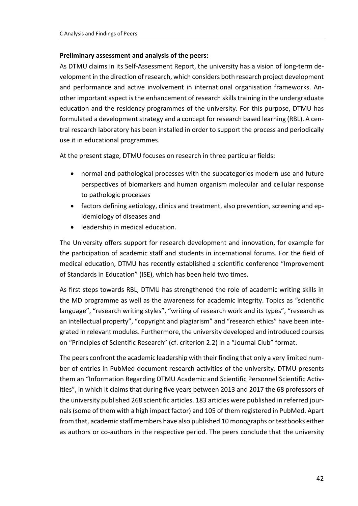# **Preliminary assessment and analysis of the peers:**

As DTMU claims in its Self-Assessment Report, the university has a vision of long-term development in the direction of research, which considers both research project development and performance and active involvement in international organisation frameworks. Another important aspect is the enhancement of research skills training in the undergraduate education and the residency programmes of the university. For this purpose, DTMU has formulated a development strategy and a concept for research based learning (RBL). A central research laboratory has been installed in order to support the process and periodically use it in educational programmes.

At the present stage, DTMU focuses on research in three particular fields:

- normal and pathological processes with the subcategories modern use and future perspectives of biomarkers and human organism molecular and cellular response to pathologic processes
- factors defining aetiology, clinics and treatment, also prevention, screening and epidemiology of diseases and
- leadership in medical education.

The University offers support for research development and innovation, for example for the participation of academic staff and students in international forums. For the field of medical education, DTMU has recently established a scientific conference "Improvement of Standards in Education" (ISE), which has been held two times.

As first steps towards RBL, DTMU has strengthened the role of academic writing skills in the MD programme as well as the awareness for academic integrity. Topics as "scientific language", "research writing styles", "writing of research work and its types", "research as an intellectual property", "copyright and plagiarism" and "research ethics" have been integrated in relevant modules. Furthermore, the university developed and introduced courses on "Principles of Scientific Research" (cf. criterion 2.2) in a "Journal Club" format.

The peers confront the academic leadership with their finding that only a very limited number of entries in PubMed document research activities of the university. DTMU presents them an "Information Regarding DTMU Academic and Scientific Personnel Scientific Activities", in which it claims that during five years between 2013 and 2017 the 68 professors of the university published 268 scientific articles. 183 articles were published in referred journals (some of them with a high impact factor) and 105 of them registered in PubMed. Apart from that, academic staff members have also published 10 monographs or textbooks either as authors or co-authors in the respective period. The peers conclude that the university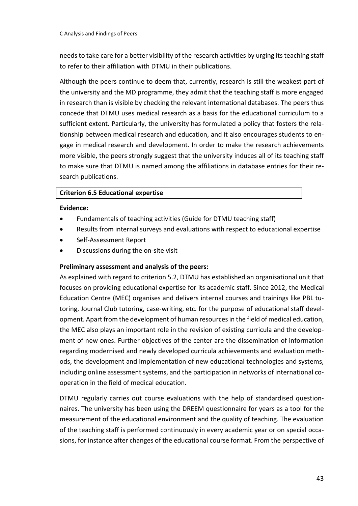needs to take care for a better visibility of the research activities by urging its teaching staff to refer to their affiliation with DTMU in their publications.

Although the peers continue to deem that, currently, research is still the weakest part of the university and the MD programme, they admit that the teaching staff is more engaged in research than is visible by checking the relevant international databases. The peers thus concede that DTMU uses medical research as a basis for the educational curriculum to a sufficient extent. Particularly, the university has formulated a policy that fosters the relationship between medical research and education, and it also encourages students to engage in medical research and development. In order to make the research achievements more visible, the peers strongly suggest that the university induces all of its teaching staff to make sure that DTMU is named among the affiliations in database entries for their research publications.

#### **Criterion 6.5 Educational expertise**

#### **Evidence:**

- Fundamentals of teaching activities (Guide for DTMU teaching staff)
- Results from internal surveys and evaluations with respect to educational expertise
- Self-Assessment Report
- Discussions during the on-site visit

# **Preliminary assessment and analysis of the peers:**

As explained with regard to criterion 5.2, DTMU has established an organisational unit that focuses on providing educational expertise for its academic staff. Since 2012, the Medical Education Centre (MEC) organises and delivers internal courses and trainings like PBL tutoring, Journal Club tutoring, case-writing, etc. for the purpose of educational staff development. Apart from the development of human resources in the field of medical education, the MEC also plays an important role in the revision of existing curricula and the development of new ones. Further objectives of the center are the dissemination of information regarding modernised and newly developed curricula achievements and evaluation methods, the development and implementation of new educational technologies and systems, including online assessment systems, and the participation in networks of international cooperation in the field of medical education.

DTMU regularly carries out course evaluations with the help of standardised questionnaires. The university has been using the DREEM questionnaire for years as a tool for the measurement of the educational environment and the quality of teaching. The evaluation of the teaching staff is performed continuously in every academic year or on special occasions, for instance after changes of the educational course format. From the perspective of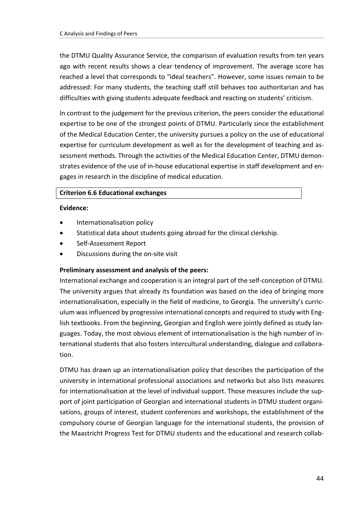the DTMU Quality Assurance Service, the comparison of evaluation results from ten years ago with recent results shows a clear tendency of improvement. The average score has reached a level that corresponds to "ideal teachers". However, some issues remain to be addressed: For many students, the teaching staff still behaves too authoritarian and has difficulties with giving students adequate feedback and reacting on students' criticism.

In contrast to the judgement for the previous criterion, the peers consider the educational expertise to be one of the strongest points of DTMU. Particularly since the establishment of the Medical Education Center, the university pursues a policy on the use of educational expertise for curriculum development as well as for the development of teaching and assessment methods. Through the activities of the Medical Education Center, DTMU demonstrates evidence of the use of in-house educational expertise in staff development and engages in research in the discipline of medical education.

#### **Criterion 6.6 Educational exchanges**

#### **Evidence:**

- Internationalisation policy
- Statistical data about students going abroad for the clinical clerkship.
- Self-Assessment Report
- Discussions during the on-site visit

# **Preliminary assessment and analysis of the peers:**

International exchange and cooperation is an integral part of the self-conception of DTMU. The university argues that already its foundation was based on the idea of bringing more internationalisation, especially in the field of medicine, to Georgia. The university's curriculum was influenced by progressive international concepts and required to study with English textbooks. From the beginning, Georgian and English were jointly defined as study languages. Today, the most obvious element of internationalisation is the high number of international students that also fosters intercultural understanding, dialogue and collaboration.

DTMU has drawn up an internationalisation policy that describes the participation of the university in international professional associations and networks but also lists measures for internationalisation at the level of individual support. Those measures include the support of joint participation of Georgian and international students in DTMU student organisations, groups of interest, student conferences and workshops, the establishment of the compulsory course of Georgian language for the international students, the provision of the Maastricht Progress Test for DTMU students and the educational and research collab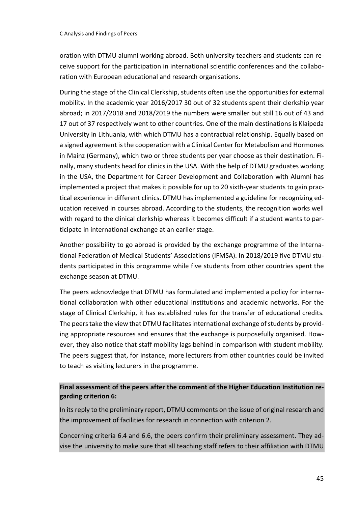oration with DTMU alumni working abroad. Both university teachers and students can receive support for the participation in international scientific conferences and the collaboration with European educational and research organisations.

During the stage of the Clinical Clerkship, students often use the opportunities for external mobility. In the academic year 2016/2017 30 out of 32 students spent their clerkship year abroad; in 2017/2018 and 2018/2019 the numbers were smaller but still 16 out of 43 and 17 out of 37 respectively went to other countries. One of the main destinations is Klaipeda University in Lithuania, with which DTMU has a contractual relationship. Equally based on a signed agreement is the cooperation with a Clinical Center for Metabolism and Hormones in Mainz (Germany), which two or three students per year choose as their destination. Finally, many students head for clinics in the USA. With the help of DTMU graduates working in the USA, the Department for Career Development and Collaboration with Alumni has implemented a project that makes it possible for up to 20 sixth-year students to gain practical experience in different clinics. DTMU has implemented a guideline for recognizing education received in courses abroad. According to the students, the recognition works well with regard to the clinical clerkship whereas it becomes difficult if a student wants to participate in international exchange at an earlier stage.

Another possibility to go abroad is provided by the exchange programme of the International Federation of Medical Students' Associations (IFMSA). In 2018/2019 five DTMU students participated in this programme while five students from other countries spent the exchange season at DTMU.

The peers acknowledge that DTMU has formulated and implemented a policy for international collaboration with other educational institutions and academic networks. For the stage of Clinical Clerkship, it has established rules for the transfer of educational credits. The peers take the view that DTMU facilitates international exchange of students by providing appropriate resources and ensures that the exchange is purposefully organised. However, they also notice that staff mobility lags behind in comparison with student mobility. The peers suggest that, for instance, more lecturers from other countries could be invited to teach as visiting lecturers in the programme.

# **Final assessment of the peers after the comment of the Higher Education Institution regarding criterion 6:**

In its reply to the preliminary report, DTMU comments on the issue of original research and the improvement of facilities for research in connection with criterion 2.

Concerning criteria 6.4 and 6.6, the peers confirm their preliminary assessment. They advise the university to make sure that all teaching staff refers to their affiliation with DTMU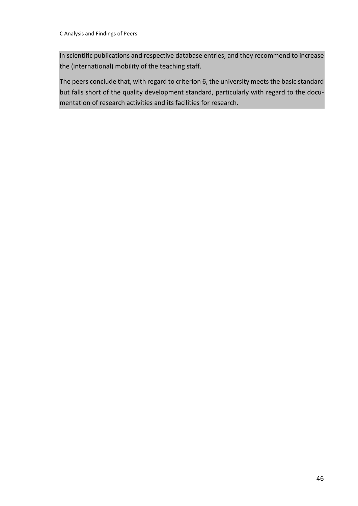in scientific publications and respective database entries, and they recommend to increase the (international) mobility of the teaching staff.

The peers conclude that, with regard to criterion 6, the university meets the basic standard but falls short of the quality development standard, particularly with regard to the documentation of research activities and its facilities for research.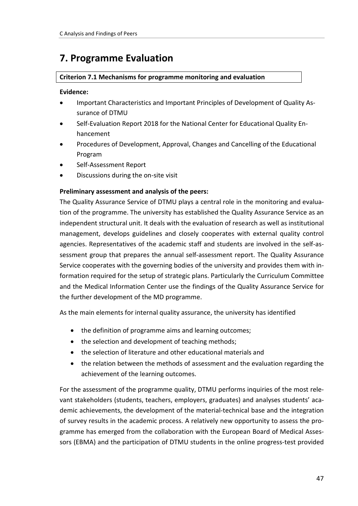# <span id="page-46-0"></span>**7. Programme Evaluation**

# **Criterion 7.1 Mechanisms for programme monitoring and evaluation**

#### **Evidence:**

- Important Characteristics and Important Principles of Development of Quality Assurance of DTMU
- Self-Evaluation Report 2018 for the National Center for Educational Quality Enhancement
- Procedures of Development, Approval, Changes and Cancelling of the Educational Program
- Self-Assessment Report
- Discussions during the on-site visit

# **Preliminary assessment and analysis of the peers:**

The Quality Assurance Service of DTMU plays a central role in the monitoring and evaluation of the programme. The university has established the Quality Assurance Service as an independent structural unit. It deals with the evaluation of research as well as institutional management, develops guidelines and closely cooperates with external quality control agencies. Representatives of the academic staff and students are involved in the self-assessment group that prepares the annual self-assessment report. The Quality Assurance Service cooperates with the governing bodies of the university and provides them with information required for the setup of strategic plans. Particularly the Curriculum Committee and the Medical Information Center use the findings of the Quality Assurance Service for the further development of the MD programme.

As the main elements for internal quality assurance, the university has identified

- the definition of programme aims and learning outcomes;
- the selection and development of teaching methods;
- the selection of literature and other educational materials and
- the relation between the methods of assessment and the evaluation regarding the achievement of the learning outcomes.

For the assessment of the programme quality, DTMU performs inquiries of the most relevant stakeholders (students, teachers, employers, graduates) and analyses students' academic achievements, the development of the material-technical base and the integration of survey results in the academic process. A relatively new opportunity to assess the programme has emerged from the collaboration with the European Board of Medical Assessors (EBMA) and the participation of DTMU students in the online progress-test provided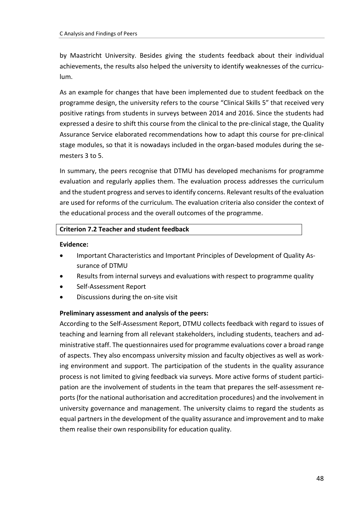by Maastricht University. Besides giving the students feedback about their individual achievements, the results also helped the university to identify weaknesses of the curriculum.

As an example for changes that have been implemented due to student feedback on the programme design, the university refers to the course "Clinical Skills 5" that received very positive ratings from students in surveys between 2014 and 2016. Since the students had expressed a desire to shift this course from the clinical to the pre-clinical stage, the Quality Assurance Service elaborated recommendations how to adapt this course for pre-clinical stage modules, so that it is nowadays included in the organ-based modules during the semesters 3 to 5.

In summary, the peers recognise that DTMU has developed mechanisms for programme evaluation and regularly applies them. The evaluation process addresses the curriculum and the student progress and serves to identify concerns. Relevant results of the evaluation are used for reforms of the curriculum. The evaluation criteria also consider the context of the educational process and the overall outcomes of the programme.

# **Criterion 7.2 Teacher and student feedback**

#### **Evidence:**

- Important Characteristics and Important Principles of Development of Quality Assurance of DTMU
- Results from internal surveys and evaluations with respect to programme quality
- Self-Assessment Report
- Discussions during the on-site visit

# **Preliminary assessment and analysis of the peers:**

According to the Self-Assessment Report, DTMU collects feedback with regard to issues of teaching and learning from all relevant stakeholders, including students, teachers and administrative staff. The questionnaires used for programme evaluations cover a broad range of aspects. They also encompass university mission and faculty objectives as well as working environment and support. The participation of the students in the quality assurance process is not limited to giving feedback via surveys. More active forms of student participation are the involvement of students in the team that prepares the self-assessment reports (for the national authorisation and accreditation procedures) and the involvement in university governance and management. The university claims to regard the students as equal partners in the development of the quality assurance and improvement and to make them realise their own responsibility for education quality.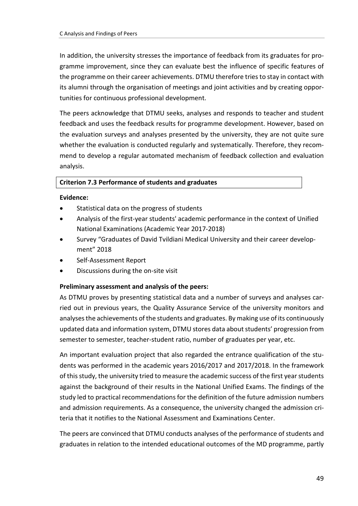In addition, the university stresses the importance of feedback from its graduates for programme improvement, since they can evaluate best the influence of specific features of the programme on their career achievements. DTMU therefore tries to stay in contact with its alumni through the organisation of meetings and joint activities and by creating opportunities for continuous professional development.

The peers acknowledge that DTMU seeks, analyses and responds to teacher and student feedback and uses the feedback results for programme development. However, based on the evaluation surveys and analyses presented by the university, they are not quite sure whether the evaluation is conducted regularly and systematically. Therefore, they recommend to develop a regular automated mechanism of feedback collection and evaluation analysis.

#### **Criterion 7.3 Performance of students and graduates**

#### **Evidence:**

- Statistical data on the progress of students
- Analysis of the first-year students' academic performance in the context of Unified National Examinations (Academic Year 2017-2018)
- Survey "Graduates of David Tvildiani Medical University and their career development" 2018
- Self-Assessment Report
- Discussions during the on-site visit

#### **Preliminary assessment and analysis of the peers:**

As DTMU proves by presenting statistical data and a number of surveys and analyses carried out in previous years, the Quality Assurance Service of the university monitors and analysesthe achievements of the students and graduates. By making use of its continuously updated data and information system, DTMU stores data about students' progression from semester to semester, teacher-student ratio, number of graduates per year, etc.

An important evaluation project that also regarded the entrance qualification of the students was performed in the academic years 2016/2017 and 2017/2018. In the framework of this study, the university tried to measure the academic success of the first year students against the background of their results in the National Unified Exams. The findings of the study led to practical recommendations for the definition of the future admission numbers and admission requirements. As a consequence, the university changed the admission criteria that it notifies to the National Assessment and Examinations Center.

The peers are convinced that DTMU conducts analyses of the performance of students and graduates in relation to the intended educational outcomes of the MD programme, partly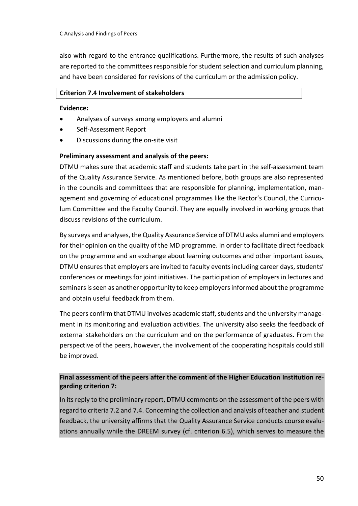also with regard to the entrance qualifications. Furthermore, the results of such analyses are reported to the committees responsible for student selection and curriculum planning, and have been considered for revisions of the curriculum or the admission policy.

#### **Criterion 7.4 Involvement of stakeholders**

#### **Evidence:**

- Analyses of surveys among employers and alumni
- Self-Assessment Report
- Discussions during the on-site visit

# **Preliminary assessment and analysis of the peers:**

DTMU makes sure that academic staff and students take part in the self-assessment team of the Quality Assurance Service. As mentioned before, both groups are also represented in the councils and committees that are responsible for planning, implementation, management and governing of educational programmes like the Rector's Council, the Curriculum Committee and the Faculty Council. They are equally involved in working groups that discuss revisions of the curriculum.

By surveys and analyses, the Quality Assurance Service of DTMU asks alumni and employers for their opinion on the quality of the MD programme. In order to facilitate direct feedback on the programme and an exchange about learning outcomes and other important issues, DTMU ensures that employers are invited to faculty events including career days, students' conferences or meetings for joint initiatives. The participation of employers in lectures and seminars is seen as another opportunity to keep employers informed about the programme and obtain useful feedback from them.

The peers confirm that DTMU involves academic staff, students and the university management in its monitoring and evaluation activities. The university also seeks the feedback of external stakeholders on the curriculum and on the performance of graduates. From the perspective of the peers, however, the involvement of the cooperating hospitals could still be improved.

# **Final assessment of the peers after the comment of the Higher Education Institution regarding criterion 7:**

In its reply to the preliminary report, DTMU comments on the assessment of the peers with regard to criteria 7.2 and 7.4. Concerning the collection and analysis of teacher and student feedback, the university affirms that the Quality Assurance Service conducts course evaluations annually while the DREEM survey (cf. criterion 6.5), which serves to measure the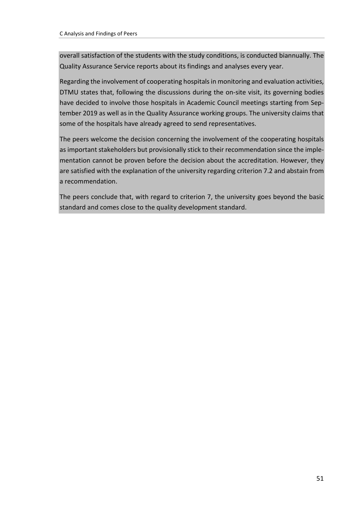overall satisfaction of the students with the study conditions, is conducted biannually. The Quality Assurance Service reports about its findings and analyses every year.

Regarding the involvement of cooperating hospitals in monitoring and evaluation activities, DTMU states that, following the discussions during the on-site visit, its governing bodies have decided to involve those hospitals in Academic Council meetings starting from September 2019 as well as in the Quality Assurance working groups. The university claims that some of the hospitals have already agreed to send representatives.

The peers welcome the decision concerning the involvement of the cooperating hospitals as important stakeholders but provisionally stick to their recommendation since the implementation cannot be proven before the decision about the accreditation. However, they are satisfied with the explanation of the university regarding criterion 7.2 and abstain from a recommendation.

The peers conclude that, with regard to criterion 7, the university goes beyond the basic standard and comes close to the quality development standard.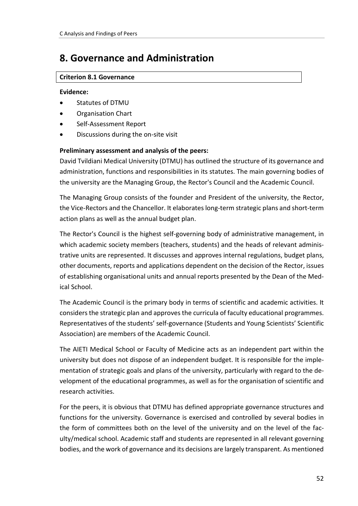# <span id="page-51-0"></span>**8. Governance and Administration**

### **Criterion 8.1 Governance**

#### **Evidence:**

- Statutes of DTMU
- Organisation Chart
- Self-Assessment Report
- Discussions during the on-site visit

# **Preliminary assessment and analysis of the peers:**

David Tvildiani Medical University (DTMU) has outlined the structure of its governance and administration, functions and responsibilities in its statutes. The main governing bodies of the university are the Managing Group, the Rector's Council and the Academic Council.

The Managing Group consists of the founder and President of the university, the Rector, the Vice-Rectors and the Chancellor. It elaborates long-term strategic plans and short-term action plans as well as the annual budget plan.

The Rector's Council is the highest self-governing body of administrative management, in which academic society members (teachers, students) and the heads of relevant administrative units are represented. It discusses and approves internal regulations, budget plans, other documents, reports and applications dependent on the decision of the Rector, issues of establishing organisational units and annual reports presented by the Dean of the Medical School.

The Academic Council is the primary body in terms of scientific and academic activities. It considers the strategic plan and approves the curricula of faculty educational programmes. Representatives of the students' self-governance (Students and Young Scientists' Scientific Association) are members of the Academic Council.

The AIETI Medical School or Faculty of Medicine acts as an independent part within the university but does not dispose of an independent budget. It is responsible for the implementation of strategic goals and plans of the university, particularly with regard to the development of the educational programmes, as well as for the organisation of scientific and research activities.

For the peers, it is obvious that DTMU has defined appropriate governance structures and functions for the university. Governance is exercised and controlled by several bodies in the form of committees both on the level of the university and on the level of the faculty/medical school. Academic staff and students are represented in all relevant governing bodies, and the work of governance and its decisions are largely transparent. As mentioned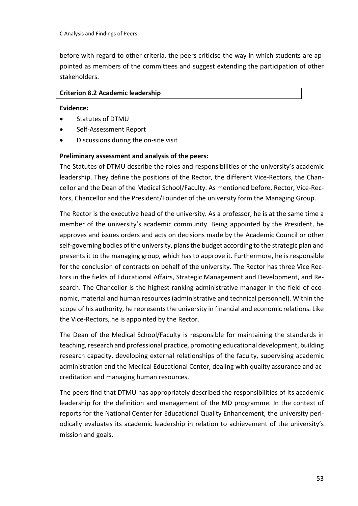before with regard to other criteria, the peers criticise the way in which students are appointed as members of the committees and suggest extending the participation of other stakeholders.

#### **Criterion 8.2 Academic leadership**

#### **Evidence:**

- Statutes of DTMU
- Self-Assessment Report
- Discussions during the on-site visit

#### **Preliminary assessment and analysis of the peers:**

The Statutes of DTMU describe the roles and responsibilities of the university's academic leadership. They define the positions of the Rector, the different Vice-Rectors, the Chancellor and the Dean of the Medical School/Faculty. As mentioned before, Rector, Vice-Rectors, Chancellor and the President/Founder of the university form the Managing Group.

The Rector is the executive head of the university. As a professor, he is at the same time a member of the university's academic community. Being appointed by the President, he approves and issues orders and acts on decisions made by the Academic Council or other self-governing bodies of the university, plans the budget according to the strategic plan and presents it to the managing group, which has to approve it. Furthermore, he is responsible for the conclusion of contracts on behalf of the university. The Rector has three Vice Rectors in the fields of Educational Affairs, Strategic Management and Development, and Research. The Chancellor is the highest-ranking administrative manager in the field of economic, material and human resources (administrative and technical personnel). Within the scope of his authority, he represents the university in financial and economic relations. Like the Vice-Rectors, he is appointed by the Rector.

The Dean of the Medical School/Faculty is responsible for maintaining the standards in teaching, research and professional practice, promoting educational development, building research capacity, developing external relationships of the faculty, supervising academic administration and the Medical Educational Center, dealing with quality assurance and accreditation and managing human resources.

The peers find that DTMU has appropriately described the responsibilities of its academic leadership for the definition and management of the MD programme. In the context of reports for the National Center for Educational Quality Enhancement, the university periodically evaluates its academic leadership in relation to achievement of the university's mission and goals.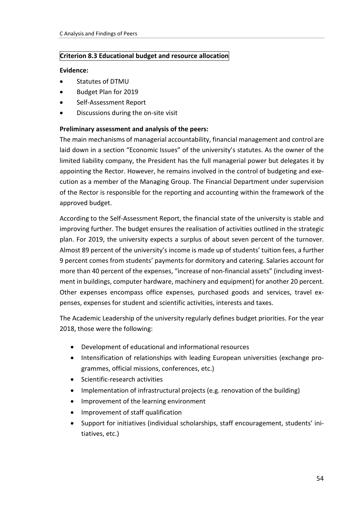# **Criterion 8.3 Educational budget and resource allocation**

#### **Evidence:**

- Statutes of DTMU
- Budget Plan for 2019
- Self-Assessment Report
- Discussions during the on-site visit

# **Preliminary assessment and analysis of the peers:**

The main mechanisms of managerial accountability, financial management and control are laid down in a section "Economic Issues" of the university's statutes. As the owner of the limited liability company, the President has the full managerial power but delegates it by appointing the Rector. However, he remains involved in the control of budgeting and execution as a member of the Managing Group. The Financial Department under supervision of the Rector is responsible for the reporting and accounting within the framework of the approved budget.

According to the Self-Assessment Report, the financial state of the university is stable and improving further. The budget ensures the realisation of activities outlined in the strategic plan. For 2019, the university expects a surplus of about seven percent of the turnover. Almost 89 percent of the university's income is made up of students' tuition fees, a further 9 percent comes from students' payments for dormitory and catering. Salaries account for more than 40 percent of the expenses, "increase of non-financial assets" (including investment in buildings, computer hardware, machinery and equipment) for another 20 percent. Other expenses encompass office expenses, purchased goods and services, travel expenses, expenses for student and scientific activities, interests and taxes.

The Academic Leadership of the university regularly defines budget priorities. For the year 2018, those were the following:

- Development of educational and informational resources
- Intensification of relationships with leading European universities (exchange programmes, official missions, conferences, etc.)
- Scientific-research activities
- Implementation of infrastructural projects (e.g. renovation of the building)
- Improvement of the learning environment
- Improvement of staff qualification
- Support for initiatives (individual scholarships, staff encouragement, students' initiatives, etc.)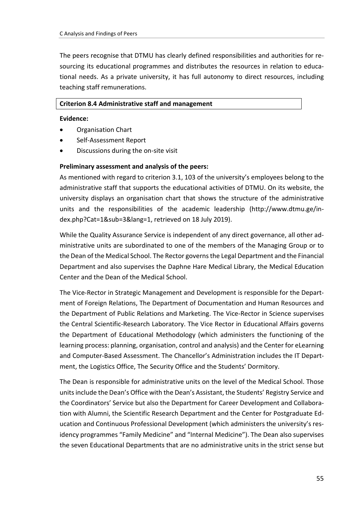The peers recognise that DTMU has clearly defined responsibilities and authorities for resourcing its educational programmes and distributes the resources in relation to educational needs. As a private university, it has full autonomy to direct resources, including teaching staff remunerations.

#### **Criterion 8.4 Administrative staff and management**

#### **Evidence:**

- Organisation Chart
- Self-Assessment Report
- Discussions during the on-site visit

#### **Preliminary assessment and analysis of the peers:**

As mentioned with regard to criterion 3.1, 103 of the university's employees belong to the administrative staff that supports the educational activities of DTMU. On its website, the university displays an organisation chart that shows the structure of the administrative units and the responsibilities of the academic leadership (http://www.dtmu.ge/index.php?Cat=1&sub=3&lang=1, retrieved on 18 July 2019).

While the Quality Assurance Service is independent of any direct governance, all other administrative units are subordinated to one of the members of the Managing Group or to the Dean of the Medical School. The Rector governs the Legal Department and the Financial Department and also supervises the Daphne Hare Medical Library, the Medical Education Center and the Dean of the Medical School.

The Vice-Rector in Strategic Management and Development is responsible for the Department of Foreign Relations, The Department of Documentation and Human Resources and the Department of Public Relations and Marketing. The Vice-Rector in Science supervises the Central Scientific-Research Laboratory. The Vice Rector in Educational Affairs governs the Department of Educational Methodology (which administers the functioning of the learning process: planning, organisation, control and analysis) and the Center for eLearning and Computer-Based Assessment. The Chancellor's Administration includes the IT Department, the Logistics Office, The Security Office and the Students' Dormitory.

The Dean is responsible for administrative units on the level of the Medical School. Those units include the Dean's Office with the Dean's Assistant, the Students' Registry Service and the Coordinators' Service but also the Department for Career Development and Collaboration with Alumni, the Scientific Research Department and the Center for Postgraduate Education and Continuous Professional Development (which administers the university's residency programmes "Family Medicine" and "Internal Medicine"). The Dean also supervises the seven Educational Departments that are no administrative units in the strict sense but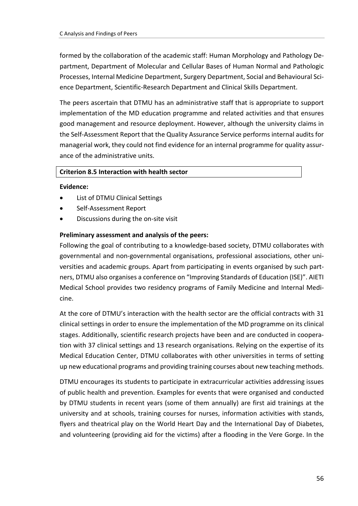formed by the collaboration of the academic staff: Human Morphology and Pathology Department, Department of Molecular and Cellular Bases of Human Normal and Pathologic Processes, Internal Medicine Department, Surgery Department, Social and Behavioural Science Department, Scientific-Research Department and Clinical Skills Department.

The peers ascertain that DTMU has an administrative staff that is appropriate to support implementation of the MD education programme and related activities and that ensures good management and resource deployment. However, although the university claims in the Self-Assessment Report that the Quality Assurance Service performs internal audits for managerial work, they could not find evidence for an internal programme for quality assurance of the administrative units.

#### **Criterion 8.5 Interaction with health sector**

#### **Evidence:**

- List of DTMU Clinical Settings
- Self-Assessment Report
- Discussions during the on-site visit

# **Preliminary assessment and analysis of the peers:**

Following the goal of contributing to a knowledge-based society, DTMU collaborates with governmental and non-governmental organisations, professional associations, other universities and academic groups. Apart from participating in events organised by such partners, DTMU also organises a conference on "Improving Standards of Education (ISE)". AIETI Medical School provides two residency programs of Family Medicine and Internal Medicine.

At the core of DTMU's interaction with the health sector are the official contracts with 31 clinical settings in order to ensure the implementation of the MD programme on its clinical stages. Additionally, scientific research projects have been and are conducted in cooperation with 37 clinical settings and 13 research organisations. Relying on the expertise of its Medical Education Center, DTMU collaborates with other universities in terms of setting up new educational programs and providing training courses about new teaching methods.

DTMU encourages its students to participate in extracurricular activities addressing issues of public health and prevention. Examples for events that were organised and conducted by DTMU students in recent years (some of them annually) are first aid trainings at the university and at schools, training courses for nurses, information activities with stands, flyers and theatrical play on the World Heart Day and the International Day of Diabetes, and volunteering (providing aid for the victims) after a flooding in the Vere Gorge. In the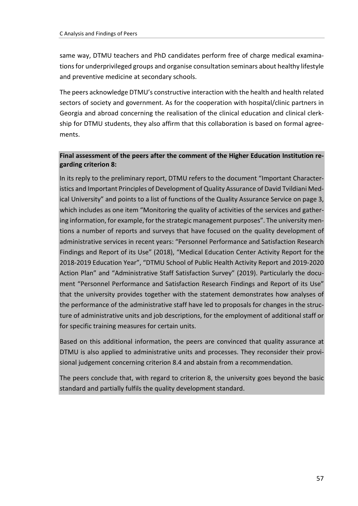same way, DTMU teachers and PhD candidates perform free of charge medical examinations for underprivileged groups and organise consultation seminars about healthy lifestyle and preventive medicine at secondary schools.

The peers acknowledge DTMU's constructive interaction with the health and health related sectors of society and government. As for the cooperation with hospital/clinic partners in Georgia and abroad concerning the realisation of the clinical education and clinical clerkship for DTMU students, they also affirm that this collaboration is based on formal agreements.

# **Final assessment of the peers after the comment of the Higher Education Institution regarding criterion 8:**

In its reply to the preliminary report, DTMU refers to the document "Important Characteristics and Important Principles of Development of Quality Assurance of David Tvildiani Medical University" and points to a list of functions of the Quality Assurance Service on page 3, which includes as one item "Monitoring the quality of activities of the services and gathering information, for example, for the strategic management purposes". The university mentions a number of reports and surveys that have focused on the quality development of administrative services in recent years: "Personnel Performance and Satisfaction Research Findings and Report of its Use" (2018), "Medical Education Center Activity Report for the 2018-2019 Education Year", "DTMU School of Public Health Activity Report and 2019-2020 Action Plan" and "Administrative Staff Satisfaction Survey" (2019). Particularly the document "Personnel Performance and Satisfaction Research Findings and Report of its Use" that the university provides together with the statement demonstrates how analyses of the performance of the administrative staff have led to proposals for changes in the structure of administrative units and job descriptions, for the employment of additional staff or for specific training measures for certain units.

Based on this additional information, the peers are convinced that quality assurance at DTMU is also applied to administrative units and processes. They reconsider their provisional judgement concerning criterion 8.4 and abstain from a recommendation.

The peers conclude that, with regard to criterion 8, the university goes beyond the basic standard and partially fulfils the quality development standard.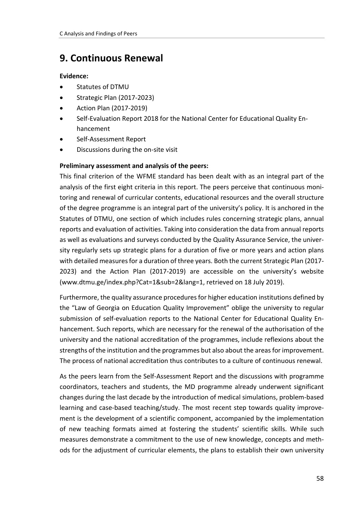# <span id="page-57-0"></span>**9. Continuous Renewal**

# **Evidence:**

- Statutes of DTMU
- Strategic Plan (2017-2023)
- Action Plan (2017-2019)
- Self-Evaluation Report 2018 for the National Center for Educational Quality Enhancement
- Self-Assessment Report
- Discussions during the on-site visit

# **Preliminary assessment and analysis of the peers:**

This final criterion of the WFME standard has been dealt with as an integral part of the analysis of the first eight criteria in this report. The peers perceive that continuous monitoring and renewal of curricular contents, educational resources and the overall structure of the degree programme is an integral part of the university's policy. It is anchored in the Statutes of DTMU, one section of which includes rules concerning strategic plans, annual reports and evaluation of activities. Taking into consideration the data from annual reports as well as evaluations and surveys conducted by the Quality Assurance Service, the university regularly sets up strategic plans for a duration of five or more years and action plans with detailed measures for a duration of three years. Both the current Strategic Plan (2017- 2023) and the Action Plan (2017-2019) are accessible on the university's website (www.dtmu.ge/index.php?Cat=1&sub=2&lang=1, retrieved on 18 July 2019).

Furthermore, the quality assurance procedures for higher education institutions defined by the "Law of Georgia on Education Quality Improvement" oblige the university to regular submission of self-evaluation reports to the National Center for Educational Quality Enhancement. Such reports, which are necessary for the renewal of the authorisation of the university and the national accreditation of the programmes, include reflexions about the strengths of the institution and the programmes but also about the areas for improvement. The process of national accreditation thus contributes to a culture of continuous renewal.

As the peers learn from the Self-Assessment Report and the discussions with programme coordinators, teachers and students, the MD programme already underwent significant changes during the last decade by the introduction of medical simulations, problem-based learning and case-based teaching/study. The most recent step towards quality improvement is the development of a scientific component, accompanied by the implementation of new teaching formats aimed at fostering the students' scientific skills. While such measures demonstrate a commitment to the use of new knowledge, concepts and methods for the adjustment of curricular elements, the plans to establish their own university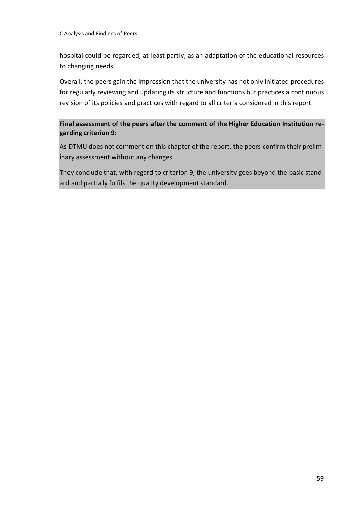hospital could be regarded, at least partly, as an adaptation of the educational resources to changing needs.

Overall, the peers gain the impression that the university has not only initiated procedures for regularly reviewing and updating its structure and functions but practices a continuous revision of its policies and practices with regard to all criteria considered in this report.

# **Final assessment of the peers after the comment of the Higher Education Institution regarding criterion 9:**

As DTMU does not comment on this chapter of the report, the peers confirm their preliminary assessment without any changes.

They conclude that, with regard to criterion 9, the university goes beyond the basic standard and partially fulfils the quality development standard.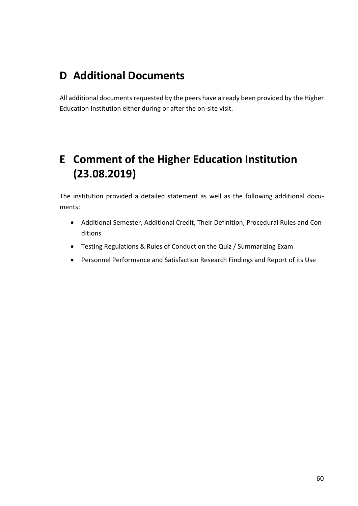# <span id="page-59-0"></span>**D Additional Documents**

All additional documents requested by the peers have already been provided by the Higher Education Institution either during or after the on-site visit.

# <span id="page-59-1"></span>**E Comment of the Higher Education Institution (23.08.2019)**

The institution provided a detailed statement as well as the following additional documents:

- Additional Semester, Additional Credit, Their Definition, Procedural Rules and Conditions
- Testing Regulations & Rules of Conduct on the Quiz / Summarizing Exam
- Personnel Performance and Satisfaction Research Findings and Report of its Use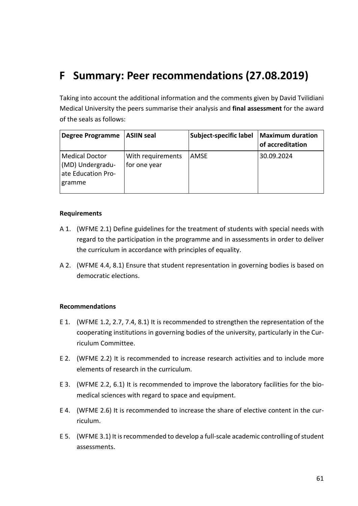# <span id="page-60-0"></span>**F Summary: Peer recommendations (27.08.2019)**

Taking into account the additional information and the comments given by David Tvilidiani Medical University the peers summarise their analysis and **final assessment** for the award of the seals as follows:

| <b>Degree Programme</b>                                                   | <b>ASIIN seal</b>                 | Subject-specific label | <b>Maximum duration</b><br>of accreditation |
|---------------------------------------------------------------------------|-----------------------------------|------------------------|---------------------------------------------|
| <b>Medical Doctor</b><br>(MD) Undergradu-<br>ate Education Pro-<br>gramme | With requirements<br>for one year | AMSE                   | 30.09.2024                                  |

#### **Requirements**

- A 1. (WFME 2.1) Define guidelines for the treatment of students with special needs with regard to the participation in the programme and in assessments in order to deliver the curriculum in accordance with principles of equality.
- A 2. (WFME 4.4, 8.1) Ensure that student representation in governing bodies is based on democratic elections.

#### **Recommendations**

- E 1. (WFME 1.2, 2.7, 7.4, 8.1) It is recommended to strengthen the representation of the cooperating institutions in governing bodies of the university, particularly in the Curriculum Committee.
- E 2. (WFME 2.2) It is recommended to increase research activities and to include more elements of research in the curriculum.
- E 3. (WFME 2.2, 6.1) It is recommended to improve the laboratory facilities for the biomedical sciences with regard to space and equipment.
- E 4. (WFME 2.6) It is recommended to increase the share of elective content in the curriculum.
- E 5. (WFME 3.1) It is recommended to develop a full-scale academic controlling of student assessments.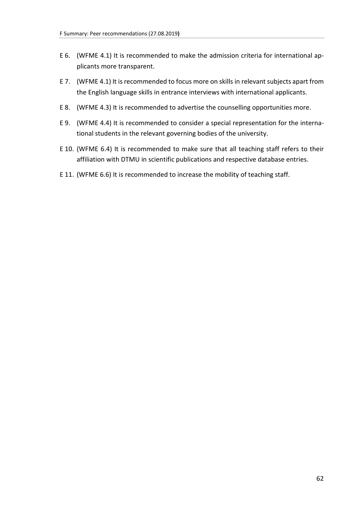- E 6. (WFME 4.1) It is recommended to make the admission criteria for international applicants more transparent.
- E 7. (WFME 4.1) It is recommended to focus more on skills in relevant subjects apart from the English language skills in entrance interviews with international applicants.
- E 8. (WFME 4.3) It is recommended to advertise the counselling opportunities more.
- E 9. (WFME 4.4) It is recommended to consider a special representation for the international students in the relevant governing bodies of the university.
- E 10. (WFME 6.4) It is recommended to make sure that all teaching staff refers to their affiliation with DTMU in scientific publications and respective database entries.
- E 11. (WFME 6.6) It is recommended to increase the mobility of teaching staff.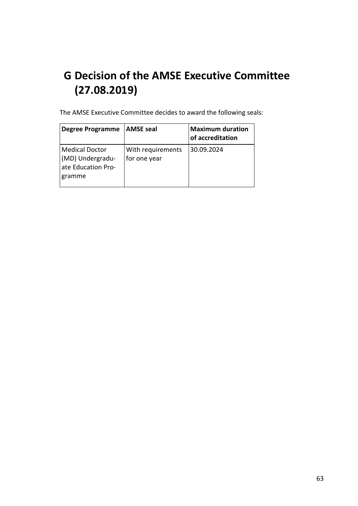# <span id="page-62-0"></span>**G Decision of the AMSE Executive Committee (27.08.2019)**

The AMSE Executive Committee decides to award the following seals:

| <b>Degree Programme</b>                                                   | <b>AMSE</b> seal                  | <b>Maximum duration</b><br>of accreditation |
|---------------------------------------------------------------------------|-----------------------------------|---------------------------------------------|
| <b>Medical Doctor</b><br>(MD) Undergradu-<br>ate Education Pro-<br>gramme | With requirements<br>for one year | 30.09.2024                                  |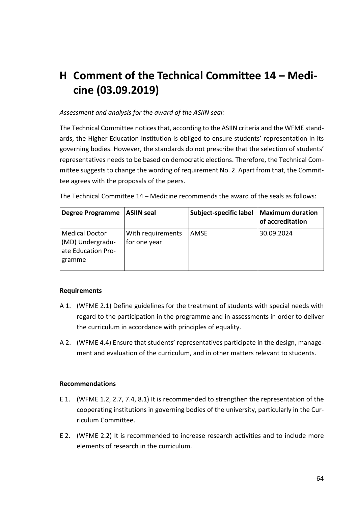# <span id="page-63-0"></span>**H Comment of the Technical Committee 14 – Medicine (03.09.2019)**

### *Assessment and analysis for the award of the ASIIN seal:*

The Technical Committee notices that, according to the ASIIN criteria and the WFME standards, the Higher Education Institution is obliged to ensure students' representation in its governing bodies. However, the standards do not prescribe that the selection of students' representatives needs to be based on democratic elections. Therefore, the Technical Committee suggests to change the wording of requirement No. 2. Apart from that, the Committee agrees with the proposals of the peers.

| The Technical Committee 14 – Medicine recommends the award of the seals as follows: |
|-------------------------------------------------------------------------------------|
|-------------------------------------------------------------------------------------|

| <b>Degree Programme</b>                                                   | ASIIN seal                        | Subject-specific label | <b>Maximum duration</b><br>of accreditation |
|---------------------------------------------------------------------------|-----------------------------------|------------------------|---------------------------------------------|
| <b>Medical Doctor</b><br>(MD) Undergradu-<br>ate Education Pro-<br>gramme | With requirements<br>for one year | AMSE                   | 30.09.2024                                  |

#### **Requirements**

- A 1. (WFME 2.1) Define guidelines for the treatment of students with special needs with regard to the participation in the programme and in assessments in order to deliver the curriculum in accordance with principles of equality.
- A 2. (WFME 4.4) Ensure that students' representatives participate in the design, management and evaluation of the curriculum, and in other matters relevant to students.

#### **Recommendations**

- E 1. (WFME 1.2, 2.7, 7.4, 8.1) It is recommended to strengthen the representation of the cooperating institutions in governing bodies of the university, particularly in the Curriculum Committee.
- E 2. (WFME 2.2) It is recommended to increase research activities and to include more elements of research in the curriculum.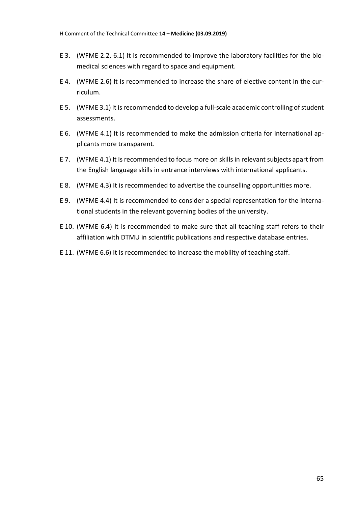- E 3. (WFME 2.2, 6.1) It is recommended to improve the laboratory facilities for the biomedical sciences with regard to space and equipment.
- E 4. (WFME 2.6) It is recommended to increase the share of elective content in the curriculum.
- E 5. (WFME 3.1) It is recommended to develop a full-scale academic controlling of student assessments.
- E 6. (WFME 4.1) It is recommended to make the admission criteria for international applicants more transparent.
- E 7. (WFME 4.1) It is recommended to focus more on skills in relevant subjects apart from the English language skills in entrance interviews with international applicants.
- E 8. (WFME 4.3) It is recommended to advertise the counselling opportunities more.
- E 9. (WFME 4.4) It is recommended to consider a special representation for the international students in the relevant governing bodies of the university.
- E 10. (WFME 6.4) It is recommended to make sure that all teaching staff refers to their affiliation with DTMU in scientific publications and respective database entries.
- E 11. (WFME 6.6) It is recommended to increase the mobility of teaching staff.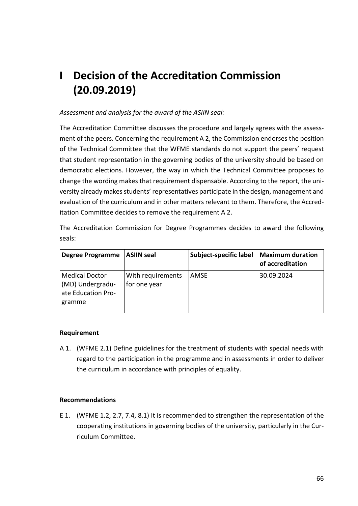# <span id="page-65-0"></span>**I Decision of the Accreditation Commission (20.09.2019)**

# *Assessment and analysis for the award of the ASIIN seal:*

The Accreditation Committee discusses the procedure and largely agrees with the assessment of the peers. Concerning the requirement A 2, the Commission endorses the position of the Technical Committee that the WFME standards do not support the peers' request that student representation in the governing bodies of the university should be based on democratic elections. However, the way in which the Technical Committee proposes to change the wording makes that requirement dispensable. According to the report, the university already makes students' representatives participate in the design, management and evaluation of the curriculum and in other matters relevant to them. Therefore, the Accreditation Committee decides to remove the requirement A 2.

The Accreditation Commission for Degree Programmes decides to award the following seals:

| <b>Degree Programme</b>                                                   | <b>ASIIN seal</b>                 | Subject-specific label | <b>Maximum duration</b><br>of accreditation |
|---------------------------------------------------------------------------|-----------------------------------|------------------------|---------------------------------------------|
| <b>Medical Doctor</b><br>(MD) Undergradu-<br>ate Education Pro-<br>gramme | With requirements<br>for one year | AMSE                   | 30.09.2024                                  |

# **Requirement**

A 1. (WFME 2.1) Define guidelines for the treatment of students with special needs with regard to the participation in the programme and in assessments in order to deliver the curriculum in accordance with principles of equality.

# **Recommendations**

E 1. (WFME 1.2, 2.7, 7.4, 8.1) It is recommended to strengthen the representation of the cooperating institutions in governing bodies of the university, particularly in the Curriculum Committee.